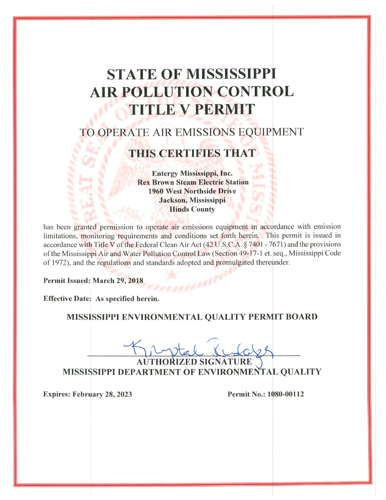# **STATE OF MISSISSIPPI AIR POLLUTION CONTROL TITLE V PERMIT**

# TO OPERATE AIR EMISSIONS EQUIPMENT

# **THIS CERTIFIES THAT**

**Entergy Mississippi, Inc. Rex Brown Steam Electric Station 1960 West Northside Drive** Jackson, Mississippi **Hinds County** 

has been granted permission to operate air emissions equipment in accordance with emission limitations, monitoring requirements and conditions set forth herein. This permit is issued in accordance with Title V of the Federal Clean Air Act (42 U.S.C.A. § 7401 - 7671) and the provisions of the Mississippi Air and Water Pollution Control Law (Section 49-17-1 et. seq., Mississippi Code of 1972), and the regulations and standards adopted and promulgated thereunder.

Permit Issued: March 29, 2018

Effective Date: As specified herein.

### MISSISSIPPI ENVIRONMENTAL QUALITY PERMIT BOARD

**CESSERTS** 

**RIZED SIGNAT** MISSISSIPPI DEPARTMENT OF ENVIRONMENTAL QUALITY

**Expires: February 28, 2023** 

Permit No.: 1080-00112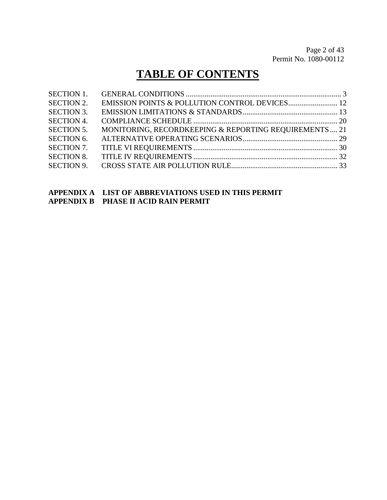# **TABLE OF CONTENTS**

| <b>SECTION 1.</b> |                                                       |  |
|-------------------|-------------------------------------------------------|--|
| <b>SECTION 2.</b> |                                                       |  |
| <b>SECTION 3.</b> |                                                       |  |
| <b>SECTION 4.</b> |                                                       |  |
| <b>SECTION 5.</b> | MONITORING, RECORDKEEPING & REPORTING REQUIREMENTS 21 |  |
| <b>SECTION 6.</b> |                                                       |  |
| <b>SECTION 7.</b> |                                                       |  |
| <b>SECTION 8.</b> |                                                       |  |
| <b>SECTION 9.</b> |                                                       |  |
|                   |                                                       |  |

### **APPENDIX A LIST OF ABBREVIATIONS USED IN THIS PERMIT APPENDIX B PHASE II ACID RAIN PERMIT**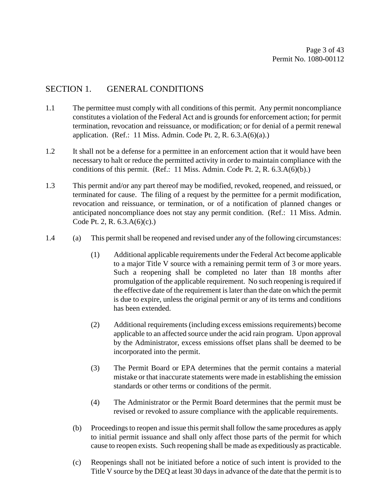## SECTION 1. GENERAL CONDITIONS

- 1.1 The permittee must comply with all conditions of this permit. Any permit noncompliance constitutes a violation of the Federal Act and is grounds for enforcement action; for permit termination, revocation and reissuance, or modification; or for denial of a permit renewal application. (Ref.: 11 Miss. Admin. Code Pt. 2, R.  $6.3.A(6)(a)$ .)
- 1.2 It shall not be a defense for a permittee in an enforcement action that it would have been necessary to halt or reduce the permitted activity in order to maintain compliance with the conditions of this permit. (Ref.: 11 Miss. Admin. Code Pt. 2, R.  $6.3.A(6)(b)$ .)
- 1.3 This permit and/or any part thereof may be modified, revoked, reopened, and reissued, or terminated for cause. The filing of a request by the permittee for a permit modification, revocation and reissuance, or termination, or of a notification of planned changes or anticipated noncompliance does not stay any permit condition. (Ref.: 11 Miss. Admin. Code Pt. 2, R. 6.3.A(6)(c).)
- 1.4 (a) This permit shall be reopened and revised under any of the following circumstances:
	- (1) Additional applicable requirements under the Federal Act become applicable to a major Title V source with a remaining permit term of 3 or more years. Such a reopening shall be completed no later than 18 months after promulgation of the applicable requirement. No such reopening is required if the effective date of the requirement is later than the date on which the permit is due to expire, unless the original permit or any of its terms and conditions has been extended.
	- (2) Additional requirements (including excess emissions requirements) become applicable to an affected source under the acid rain program. Upon approval by the Administrator, excess emissions offset plans shall be deemed to be incorporated into the permit.
	- (3) The Permit Board or EPA determines that the permit contains a material mistake or that inaccurate statements were made in establishing the emission standards or other terms or conditions of the permit.
	- (4) The Administrator or the Permit Board determines that the permit must be revised or revoked to assure compliance with the applicable requirements.
	- (b) Proceedings to reopen and issue this permit shall follow the same procedures as apply to initial permit issuance and shall only affect those parts of the permit for which cause to reopen exists. Such reopening shall be made as expeditiously as practicable.
	- (c) Reopenings shall not be initiated before a notice of such intent is provided to the Title V source by the DEQ at least 30 days in advance of the date that the permit is to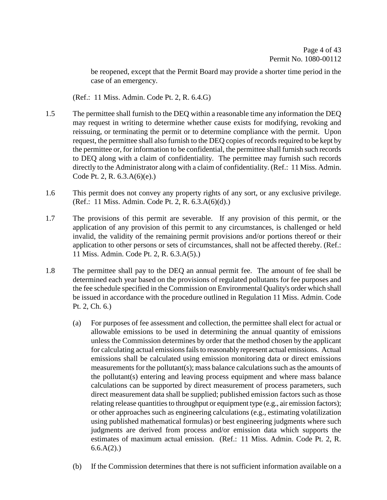be reopened, except that the Permit Board may provide a shorter time period in the case of an emergency.

(Ref.: 11 Miss. Admin. Code Pt. 2, R. 6.4.G)

- 1.5 The permittee shall furnish to the DEQ within a reasonable time any information the DEQ may request in writing to determine whether cause exists for modifying, revoking and reissuing, or terminating the permit or to determine compliance with the permit. Upon request, the permittee shall also furnish to the DEQ copies of records required to be kept by the permittee or, for information to be confidential, the permittee shall furnish such records to DEQ along with a claim of confidentiality. The permittee may furnish such records directly to the Administrator along with a claim of confidentiality. (Ref.: 11 Miss. Admin. Code Pt. 2, R. 6.3.A(6)(e).)
- 1.6 This permit does not convey any property rights of any sort, or any exclusive privilege. (Ref.: 11 Miss. Admin. Code Pt. 2, R. 6.3.A(6)(d).)
- 1.7 The provisions of this permit are severable. If any provision of this permit, or the application of any provision of this permit to any circumstances, is challenged or held invalid, the validity of the remaining permit provisions and/or portions thereof or their application to other persons or sets of circumstances, shall not be affected thereby. (Ref.: 11 Miss. Admin. Code Pt. 2, R. 6.3.A(5).)
- 1.8 The permittee shall pay to the DEQ an annual permit fee. The amount of fee shall be determined each year based on the provisions of regulated pollutants for fee purposes and the fee schedule specified in the Commission on Environmental Quality's order which shall be issued in accordance with the procedure outlined in Regulation 11 Miss. Admin. Code Pt. 2, Ch. 6.)
	- (a) For purposes of fee assessment and collection, the permittee shall elect for actual or allowable emissions to be used in determining the annual quantity of emissions unless the Commission determines by order that the method chosen by the applicant for calculating actual emissions fails to reasonably represent actual emissions. Actual emissions shall be calculated using emission monitoring data or direct emissions measurements for the pollutant(s); mass balance calculations such as the amounts of the pollutant(s) entering and leaving process equipment and where mass balance calculations can be supported by direct measurement of process parameters, such direct measurement data shall be supplied; published emission factors such as those relating release quantities to throughput or equipment type (e.g., air emission factors); or other approaches such as engineering calculations (e.g., estimating volatilization using published mathematical formulas) or best engineering judgments where such judgments are derived from process and/or emission data which supports the estimates of maximum actual emission. (Ref.: 11 Miss. Admin. Code Pt. 2, R.  $6.6.A(2)$ .)
	- (b) If the Commission determines that there is not sufficient information available on a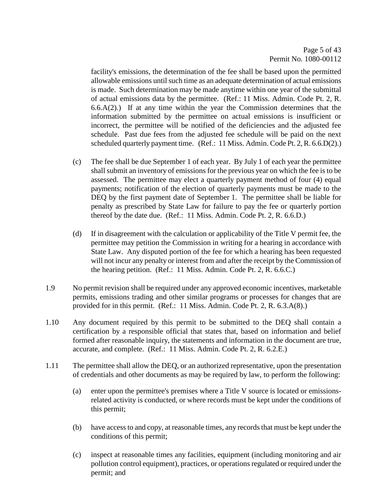facility's emissions, the determination of the fee shall be based upon the permitted allowable emissions until such time as an adequate determination of actual emissions is made. Such determination may be made anytime within one year of the submittal of actual emissions data by the permittee. (Ref.: 11 Miss. Admin. Code Pt. 2, R.  $6.6(A(2))$  If at any time within the year the Commission determines that the information submitted by the permittee on actual emissions is insufficient or incorrect, the permittee will be notified of the deficiencies and the adjusted fee schedule. Past due fees from the adjusted fee schedule will be paid on the next scheduled quarterly payment time. (Ref.: 11 Miss. Admin. Code Pt. 2, R. 6.6.D(2).)

- (c) The fee shall be due September 1 of each year. By July 1 of each year the permittee shall submit an inventory of emissions for the previous year on which the fee is to be assessed. The permittee may elect a quarterly payment method of four (4) equal payments; notification of the election of quarterly payments must be made to the DEQ by the first payment date of September 1. The permittee shall be liable for penalty as prescribed by State Law for failure to pay the fee or quarterly portion thereof by the date due. (Ref.: 11 Miss. Admin. Code Pt. 2, R. 6.6.D.)
- (d) If in disagreement with the calculation or applicability of the Title V permit fee, the permittee may petition the Commission in writing for a hearing in accordance with State Law. Any disputed portion of the fee for which a hearing has been requested will not incur any penalty or interest from and after the receipt by the Commission of the hearing petition. (Ref.: 11 Miss. Admin. Code Pt. 2, R. 6.6.C.)
- 1.9 No permit revision shall be required under any approved economic incentives, marketable permits, emissions trading and other similar programs or processes for changes that are provided for in this permit. (Ref.: 11 Miss. Admin. Code Pt. 2, R. 6.3.A(8).)
- 1.10 Any document required by this permit to be submitted to the DEQ shall contain a certification by a responsible official that states that, based on information and belief formed after reasonable inquiry, the statements and information in the document are true, accurate, and complete. (Ref.: 11 Miss. Admin. Code Pt. 2, R. 6.2.E.)
- 1.11 The permittee shall allow the DEQ, or an authorized representative, upon the presentation of credentials and other documents as may be required by law, to perform the following:
	- (a) enter upon the permittee's premises where a Title V source is located or emissionsrelated activity is conducted, or where records must be kept under the conditions of this permit;
	- (b) have access to and copy, at reasonable times, any records that must be kept under the conditions of this permit;
	- (c) inspect at reasonable times any facilities, equipment (including monitoring and air pollution control equipment), practices, or operations regulated or required under the permit; and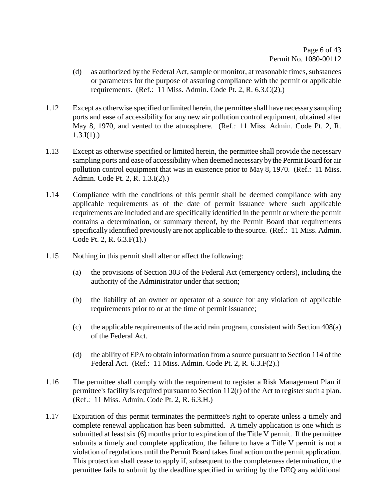- (d) as authorized by the Federal Act, sample or monitor, at reasonable times, substances or parameters for the purpose of assuring compliance with the permit or applicable requirements. (Ref.: 11 Miss. Admin. Code Pt. 2, R. 6.3.C(2).)
- 1.12 Except as otherwise specified or limited herein, the permittee shall have necessary sampling ports and ease of accessibility for any new air pollution control equipment, obtained after May 8, 1970, and vented to the atmosphere. (Ref.: 11 Miss. Admin. Code Pt. 2, R.  $1.3.I(1)$ .)
- 1.13 Except as otherwise specified or limited herein, the permittee shall provide the necessary sampling ports and ease of accessibility when deemed necessary by the Permit Board for air pollution control equipment that was in existence prior to May 8, 1970. (Ref.: 11 Miss. Admin. Code Pt. 2, R. 1.3.I(2).)
- 1.14 Compliance with the conditions of this permit shall be deemed compliance with any applicable requirements as of the date of permit issuance where such applicable requirements are included and are specifically identified in the permit or where the permit contains a determination, or summary thereof, by the Permit Board that requirements specifically identified previously are not applicable to the source. (Ref.: 11 Miss. Admin. Code Pt. 2, R. 6.3.F(1).)
- 1.15 Nothing in this permit shall alter or affect the following:
	- (a) the provisions of Section 303 of the Federal Act (emergency orders), including the authority of the Administrator under that section;
	- (b) the liability of an owner or operator of a source for any violation of applicable requirements prior to or at the time of permit issuance;
	- (c) the applicable requirements of the acid rain program, consistent with Section 408(a) of the Federal Act.
	- (d) the ability of EPA to obtain information from a source pursuant to Section 114 of the Federal Act. (Ref.: 11 Miss. Admin. Code Pt. 2, R. 6.3.F(2).)
- 1.16 The permittee shall comply with the requirement to register a Risk Management Plan if permittee's facility is required pursuant to Section 112(r) of the Act to register such a plan. (Ref.: 11 Miss. Admin. Code Pt. 2, R. 6.3.H.)
- 1.17 Expiration of this permit terminates the permittee's right to operate unless a timely and complete renewal application has been submitted. A timely application is one which is submitted at least six (6) months prior to expiration of the Title V permit. If the permittee submits a timely and complete application, the failure to have a Title V permit is not a violation of regulations until the Permit Board takes final action on the permit application. This protection shall cease to apply if, subsequent to the completeness determination, the permittee fails to submit by the deadline specified in writing by the DEQ any additional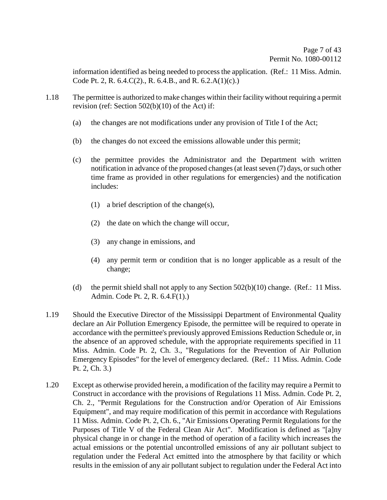information identified as being needed to process the application. (Ref.: 11 Miss. Admin. Code Pt. 2, R. 6.4.C(2)., R. 6.4.B., and R. 6.2.A(1)(c).)

- 1.18 The permittee is authorized to make changes within their facility without requiring a permit revision (ref: Section 502(b)(10) of the Act) if:
	- (a) the changes are not modifications under any provision of Title I of the Act;
	- (b) the changes do not exceed the emissions allowable under this permit;
	- (c) the permittee provides the Administrator and the Department with written notification in advance of the proposed changes (at least seven (7) days, or such other time frame as provided in other regulations for emergencies) and the notification includes:
		- (1) a brief description of the change(s),
		- (2) the date on which the change will occur,
		- (3) any change in emissions, and
		- (4) any permit term or condition that is no longer applicable as a result of the change;
	- (d) the permit shield shall not apply to any Section 502(b)(10) change. (Ref.: 11 Miss. Admin. Code Pt. 2, R. 6.4.F(1).)
- 1.19 Should the Executive Director of the Mississippi Department of Environmental Quality declare an Air Pollution Emergency Episode, the permittee will be required to operate in accordance with the permittee's previously approved Emissions Reduction Schedule or, in the absence of an approved schedule, with the appropriate requirements specified in 11 Miss. Admin. Code Pt. 2, Ch. 3., "Regulations for the Prevention of Air Pollution Emergency Episodes" for the level of emergency declared. (Ref.: 11 Miss. Admin. Code Pt. 2, Ch. 3.)
- 1.20 Except as otherwise provided herein, a modification of the facility may require a Permit to Construct in accordance with the provisions of Regulations 11 Miss. Admin. Code Pt. 2, Ch. 2., "Permit Regulations for the Construction and/or Operation of Air Emissions Equipment", and may require modification of this permit in accordance with Regulations 11 Miss. Admin. Code Pt. 2, Ch. 6., "Air Emissions Operating Permit Regulations for the Purposes of Title V of the Federal Clean Air Act". Modification is defined as "[a]ny physical change in or change in the method of operation of a facility which increases the actual emissions or the potential uncontrolled emissions of any air pollutant subject to regulation under the Federal Act emitted into the atmosphere by that facility or which results in the emission of any air pollutant subject to regulation under the Federal Act into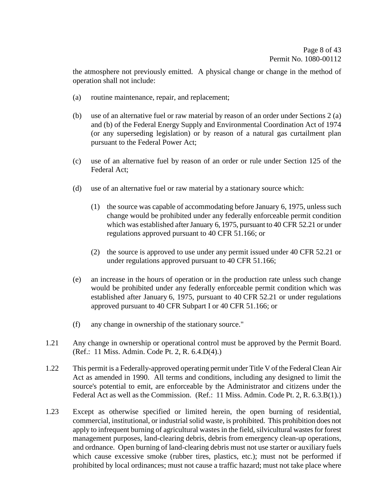the atmosphere not previously emitted. A physical change or change in the method of operation shall not include:

- (a) routine maintenance, repair, and replacement;
- (b) use of an alternative fuel or raw material by reason of an order under Sections 2 (a) and (b) of the Federal Energy Supply and Environmental Coordination Act of 1974 (or any superseding legislation) or by reason of a natural gas curtailment plan pursuant to the Federal Power Act;
- (c) use of an alternative fuel by reason of an order or rule under Section 125 of the Federal Act;
- (d) use of an alternative fuel or raw material by a stationary source which:
	- (1) the source was capable of accommodating before January 6, 1975, unless such change would be prohibited under any federally enforceable permit condition which was established after January 6, 1975, pursuant to 40 CFR 52.21 or under regulations approved pursuant to 40 CFR 51.166; or
	- (2) the source is approved to use under any permit issued under 40 CFR 52.21 or under regulations approved pursuant to 40 CFR 51.166;
- (e) an increase in the hours of operation or in the production rate unless such change would be prohibited under any federally enforceable permit condition which was established after January 6, 1975, pursuant to 40 CFR 52.21 or under regulations approved pursuant to 40 CFR Subpart I or 40 CFR 51.166; or
- (f) any change in ownership of the stationary source."
- 1.21 Any change in ownership or operational control must be approved by the Permit Board. (Ref.: 11 Miss. Admin. Code Pt. 2, R. 6.4.D(4).)
- 1.22 This permit is a Federally-approved operating permit under Title V of the Federal Clean Air Act as amended in 1990. All terms and conditions, including any designed to limit the source's potential to emit, are enforceable by the Administrator and citizens under the Federal Act as well as the Commission. (Ref.: 11 Miss. Admin. Code Pt. 2, R. 6.3.B(1).)
- 1.23 Except as otherwise specified or limited herein, the open burning of residential, commercial, institutional, or industrial solid waste, is prohibited. This prohibition does not apply to infrequent burning of agricultural wastes in the field, silvicultural wastes for forest management purposes, land-clearing debris, debris from emergency clean-up operations, and ordnance. Open burning of land-clearing debris must not use starter or auxiliary fuels which cause excessive smoke (rubber tires, plastics, etc.); must not be performed if prohibited by local ordinances; must not cause a traffic hazard; must not take place where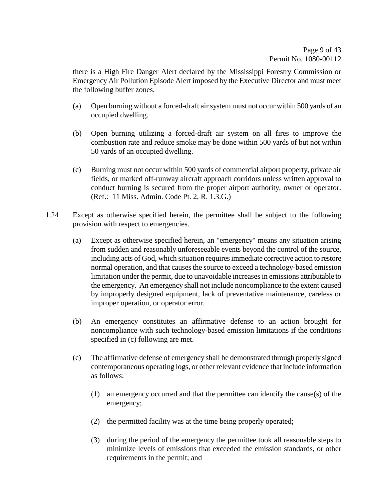there is a High Fire Danger Alert declared by the Mississippi Forestry Commission or Emergency Air Pollution Episode Alert imposed by the Executive Director and must meet the following buffer zones.

- (a) Open burning without a forced-draft air system must not occur within 500 yards of an occupied dwelling.
- (b) Open burning utilizing a forced-draft air system on all fires to improve the combustion rate and reduce smoke may be done within 500 yards of but not within 50 yards of an occupied dwelling.
- (c) Burning must not occur within 500 yards of commercial airport property, private air fields, or marked off-runway aircraft approach corridors unless written approval to conduct burning is secured from the proper airport authority, owner or operator. (Ref.: 11 Miss. Admin. Code Pt. 2, R. 1.3.G.)
- 1.24 Except as otherwise specified herein, the permittee shall be subject to the following provision with respect to emergencies.
	- (a) Except as otherwise specified herein, an "emergency" means any situation arising from sudden and reasonably unforeseeable events beyond the control of the source, including acts of God, which situation requires immediate corrective action to restore normal operation, and that causes the source to exceed a technology-based emission limitation under the permit, due to unavoidable increases in emissions attributable to the emergency. An emergency shall not include noncompliance to the extent caused by improperly designed equipment, lack of preventative maintenance, careless or improper operation, or operator error.
	- (b) An emergency constitutes an affirmative defense to an action brought for noncompliance with such technology-based emission limitations if the conditions specified in (c) following are met.
	- (c) The affirmative defense of emergency shall be demonstrated through properly signed contemporaneous operating logs, or other relevant evidence that include information as follows:
		- (1) an emergency occurred and that the permittee can identify the cause(s) of the emergency;
		- (2) the permitted facility was at the time being properly operated;
		- (3) during the period of the emergency the permittee took all reasonable steps to minimize levels of emissions that exceeded the emission standards, or other requirements in the permit; and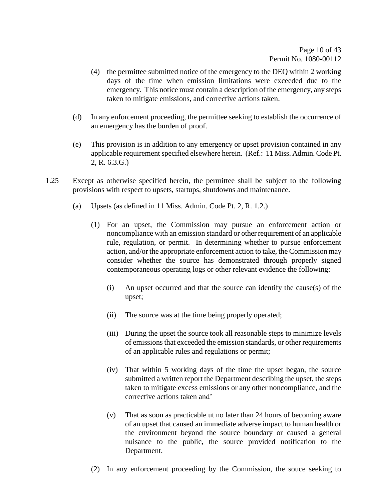- (4) the permittee submitted notice of the emergency to the DEQ within 2 working days of the time when emission limitations were exceeded due to the emergency. This notice must contain a description of the emergency, any steps taken to mitigate emissions, and corrective actions taken.
- (d) In any enforcement proceeding, the permittee seeking to establish the occurrence of an emergency has the burden of proof.
- (e) This provision is in addition to any emergency or upset provision contained in any applicable requirement specified elsewhere herein. (Ref.: 11 Miss. Admin. Code Pt. 2, R. 6.3.G.)
- 1.25 Except as otherwise specified herein, the permittee shall be subject to the following provisions with respect to upsets, startups, shutdowns and maintenance.
	- (a) Upsets (as defined in 11 Miss. Admin. Code Pt. 2, R. 1.2.)
		- (1) For an upset, the Commission may pursue an enforcement action or noncompliance with an emission standard or other requirement of an applicable rule, regulation, or permit. In determining whether to pursue enforcement action, and/or the appropriate enforcement action to take, the Commission may consider whether the source has demonstrated through properly signed contemporaneous operating logs or other relevant evidence the following:
			- (i) An upset occurred and that the source can identify the cause(s) of the upset;
			- (ii) The source was at the time being properly operated;
			- (iii) During the upset the source took all reasonable steps to minimize levels of emissions that exceeded the emission standards, or other requirements of an applicable rules and regulations or permit;
			- (iv) That within 5 working days of the time the upset began, the source submitted a written report the Department describing the upset, the steps taken to mitigate excess emissions or any other noncompliance, and the corrective actions taken and'
			- (v) That as soon as practicable ut no later than 24 hours of becoming aware of an upset that caused an immediate adverse impact to human health or the environment beyond the source boundary or caused a general nuisance to the public, the source provided notification to the Department.
		- (2) In any enforcement proceeding by the Commission, the souce seeking to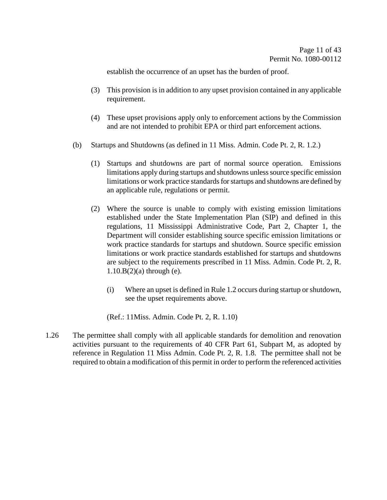establish the occurrence of an upset has the burden of proof.

- (3) This provision is in addition to any upset provision contained in any applicable requirement.
- (4) These upset provisions apply only to enforcement actions by the Commission and are not intended to prohibit EPA or third part enforcement actions.
- (b) Startups and Shutdowns (as defined in 11 Miss. Admin. Code Pt. 2, R. 1.2.)
	- (1) Startups and shutdowns are part of normal source operation. Emissions limitations apply during startups and shutdowns unless source specific emission limitations or work practice standards for startups and shutdowns are defined by an applicable rule, regulations or permit.
	- (2) Where the source is unable to comply with existing emission limitations established under the State Implementation Plan (SIP) and defined in this regulations, 11 Mississippi Administrative Code, Part 2, Chapter 1, the Department will consider establishing source specific emission limitations or work practice standards for startups and shutdown. Source specific emission limitations or work practice standards established for startups and shutdowns are subject to the requirements prescribed in 11 Miss. Admin. Code Pt. 2, R.  $1.10.B(2)$ (a) through (e).
		- (i) Where an upset is defined in Rule 1.2 occurs during startup or shutdown, see the upset requirements above.

(Ref.: 11Miss. Admin. Code Pt. 2, R. 1.10)

1.26 The permittee shall comply with all applicable standards for demolition and renovation activities pursuant to the requirements of 40 CFR Part 61, Subpart M, as adopted by reference in Regulation 11 Miss Admin. Code Pt. 2, R. 1.8. The permittee shall not be required to obtain a modification of this permit in order to perform the referenced activities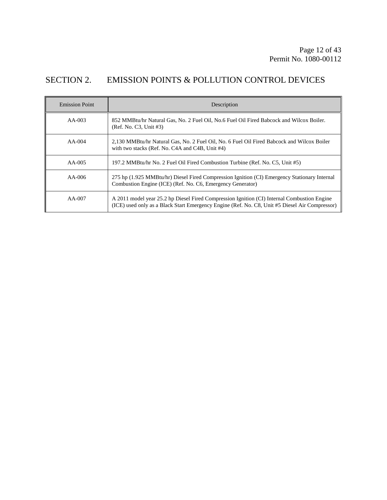# SECTION 2. EMISSION POINTS & POLLUTION CONTROL DEVICES

| <b>Emission Point</b> | Description                                                                                                                                                                                   |
|-----------------------|-----------------------------------------------------------------------------------------------------------------------------------------------------------------------------------------------|
| $AA-003$              | 852 MMBtu/hr Natural Gas, No. 2 Fuel Oil, No.6 Fuel Oil Fired Babcock and Wilcox Boiler.<br>(Ref. No. C3, Unit #3)                                                                            |
| $AA-004$              | 2,130 MMBtu/hr Natural Gas, No. 2 Fuel Oil, No. 6 Fuel Oil Fired Babcock and Wilcox Boiler<br>with two stacks (Ref. No. C4A and C4B, Unit #4)                                                 |
| $AA-005$              | 197.2 MMBtu/hr No. 2 Fuel Oil Fired Combustion Turbine (Ref. No. C5, Unit #5)                                                                                                                 |
| $AA-006$              | 275 hp (1.925 MMBtu/hr) Diesel Fired Compression Ignition (CI) Emergency Stationary Internal<br>Combustion Engine (ICE) (Ref. No. C6, Emergency Generator)                                    |
| $AA-007$              | A 2011 model year 25.2 hp Diesel Fired Compression Ignition (CI) Internal Combustion Engine<br>(ICE) used only as a Black Start Emergency Engine (Ref. No. C8, Unit #5 Diesel Air Compressor) |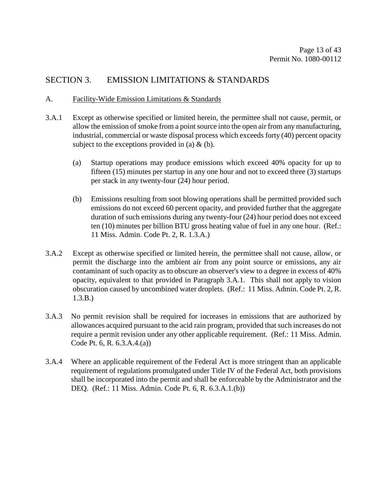## SECTION 3. EMISSION LIMITATIONS & STANDARDS

#### A. Facility-Wide Emission Limitations & Standards

- 3.A.1 Except as otherwise specified or limited herein, the permittee shall not cause, permit, or allow the emission of smoke from a point source into the open air from any manufacturing, industrial, commercial or waste disposal process which exceeds forty (40) percent opacity subject to the exceptions provided in (a)  $\&$  (b).
	- (a) Startup operations may produce emissions which exceed 40% opacity for up to fifteen (15) minutes per startup in any one hour and not to exceed three (3) startups per stack in any twenty-four (24) hour period.
	- (b) Emissions resulting from soot blowing operations shall be permitted provided such emissions do not exceed 60 percent opacity, and provided further that the aggregate duration of such emissions during any twenty-four (24) hour period does not exceed ten (10) minutes per billion BTU gross heating value of fuel in any one hour. (Ref.: 11 Miss. Admin. Code Pt. 2, R. 1.3.A.)
- 3.A.2 Except as otherwise specified or limited herein, the permittee shall not cause, allow, or permit the discharge into the ambient air from any point source or emissions, any air contaminant of such opacity as to obscure an observer's view to a degree in excess of 40% opacity, equivalent to that provided in Paragraph 3.A.1. This shall not apply to vision obscuration caused by uncombined water droplets. (Ref.: 11 Miss. Admin. Code Pt. 2, R. 1.3.B.)
- 3.A.3 No permit revision shall be required for increases in emissions that are authorized by allowances acquired pursuant to the acid rain program, provided that such increases do not require a permit revision under any other applicable requirement. (Ref.: 11 Miss. Admin. Code Pt. 6, R. 6.3.A.4.(a))
- 3.A.4 Where an applicable requirement of the Federal Act is more stringent than an applicable requirement of regulations promulgated under Title IV of the Federal Act, both provisions shall be incorporated into the permit and shall be enforceable by the Administrator and the DEQ. (Ref.: 11 Miss. Admin. Code Pt. 6, R. 6.3.A.1.(b))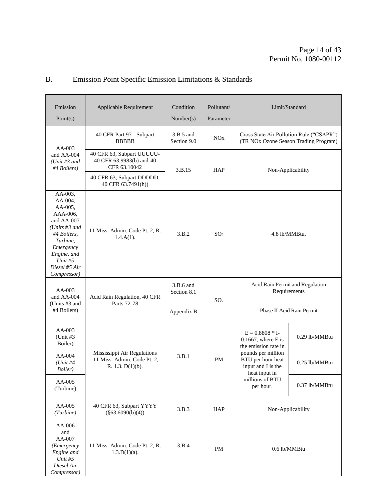# B. Emission Point Specific Emission Limitations & Standards

| Emission<br>Point(s)                                                                                                                                                           | Applicable Requirement                                                            | Condition<br>Number(s)     | Pollutant/<br>Parameter | Limit/Standard                                                                    |                                 |
|--------------------------------------------------------------------------------------------------------------------------------------------------------------------------------|-----------------------------------------------------------------------------------|----------------------------|-------------------------|-----------------------------------------------------------------------------------|---------------------------------|
| $AA-003$                                                                                                                                                                       | 40 CFR Part 97 - Subpart<br><b>BBBBB</b>                                          | $3.B.5$ and<br>Section 9.0 | NOx                     | Cross State Air Pollution Rule ("CSAPR")<br>(TR NOx Ozone Season Trading Program) |                                 |
| and AA-004<br>(Unit $#3$ and<br>#4 Boilers)                                                                                                                                    | 40 CFR 63, Subpart UUUUU-<br>40 CFR 63.9983(b) and 40<br>CFR 63.10042             | 3.B.15                     | <b>HAP</b>              | Non-Applicability                                                                 |                                 |
|                                                                                                                                                                                | 40 CFR 63, Subpart DDDDD,<br>40 CFR 63.7491(h))                                   |                            |                         |                                                                                   |                                 |
| AA-003,<br>AA-004,<br>AA-005,<br>AAA-006,<br>and AA-007<br>(Units $#3$ and<br>#4 Boilers,<br>Turbine,<br>Emergency<br>Engine, and<br>Unit $#5$<br>Diesel #5 Air<br>Compressor) | 11 Miss. Admin. Code Pt. 2, R.<br>$1.4.A(1)$ .                                    | 3.B.2                      | SO <sub>2</sub>         | 4.8 lb/MMBtu,                                                                     |                                 |
| $AA-003$<br>and AA-004                                                                                                                                                         | Acid Rain Regulation, 40 CFR                                                      | 3.B.6 and<br>Section 8.1   | SO <sub>2</sub>         | Requirements                                                                      | Acid Rain Permit and Regulation |
| (Units #3 and<br>#4 Boilers)                                                                                                                                                   | Parts 72-78                                                                       | Appendix B                 |                         | Phase II Acid Rain Permit                                                         |                                 |
| AA-003<br>(Unit $#3$<br>Boiler)                                                                                                                                                |                                                                                   |                            |                         | $E = 0.8808 * I$ -<br>$0.1667$ , where E is<br>the emission rate in               | 0.29 lb/MMBtu                   |
| $AA-004$<br>$(Unit \#4)$<br>Boiler)                                                                                                                                            | Mississippi Air Regulations<br>11 Miss. Admin. Code Pt. 2,<br>R. 1.3. $D(1)(b)$ . | 3.B.1                      | PM                      | pounds per million<br>BTU per hour heat<br>input and I is the<br>heat input in    | 0.25 lb/MMBtu                   |
| AA-005<br>(Turbine)                                                                                                                                                            |                                                                                   |                            |                         | millions of BTU<br>per hour.                                                      | 0.37 lb/MMBtu                   |
| AA-005<br>(Turbine)                                                                                                                                                            | 40 CFR 63, Subpart YYYY<br>$(\$63.6090(b)(4))$                                    | 3.B.3                      | HAP                     | Non-Applicability                                                                 |                                 |
| AA-006<br>and<br>AA-007<br>( <i>Emergency</i><br>Engine and<br>Unit $#5$<br>Diesel Air<br>Compressor)                                                                          | 11 Miss. Admin. Code Pt. 2, R.<br>$1.3.D(1)(a)$ .                                 | 3.B.4                      | PM                      | 0.6 lb/MMBtu                                                                      |                                 |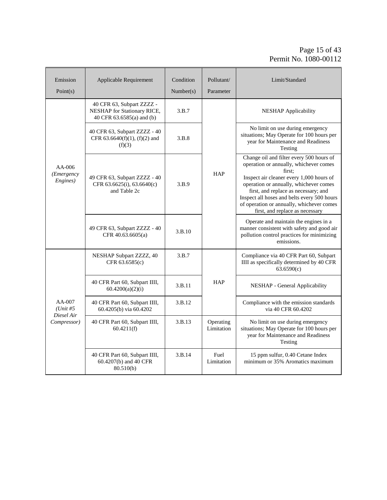### Page 15 of 43 Permit No. 1080-00112

| Emission<br>Point(s)                                  | Applicable Requirement                                                                | Condition<br>Number(s) | Pollutant/<br>Parameter | Limit/Standard                                                                                                                                                                                                                                                                                                                                            |
|-------------------------------------------------------|---------------------------------------------------------------------------------------|------------------------|-------------------------|-----------------------------------------------------------------------------------------------------------------------------------------------------------------------------------------------------------------------------------------------------------------------------------------------------------------------------------------------------------|
|                                                       | 40 CFR 63, Subpart ZZZZ -<br>NESHAP for Stationary RICE,<br>40 CFR 63.6585(a) and (b) | 3.B.7                  |                         | <b>NESHAP</b> Applicability                                                                                                                                                                                                                                                                                                                               |
| $AA-006$<br>(Emergency<br>Engines)                    | 40 CFR 63, Subpart ZZZZ - 40<br>CFR 63.6640(f)(1), (f)(2) and<br>(f)(3)               | 3.B.8                  |                         | No limit on use during emergency<br>situations; May Operate for 100 hours per<br>year for Maintenance and Readiness<br>Testing                                                                                                                                                                                                                            |
|                                                       | 49 CFR 63, Subpart ZZZZ - 40<br>CFR 63.6625(i), 63.6640(c)<br>and Table 2c            | 3.B.9                  | HAP                     | Change oil and filter every 500 hours of<br>operation or annually, whichever comes<br>first:<br>Inspect air cleaner every 1,000 hours of<br>operation or annually, whichever comes<br>first, and replace as necessary; and<br>Inspect all hoses and belts every 500 hours<br>of operation or annually, whichever comes<br>first, and replace as necessary |
|                                                       | 49 CFR 63, Subpart ZZZZ - 40<br>CFR 40.63.6605(a)                                     | 3.B.10                 |                         | Operate and maintain the engines in a<br>manner consistent with safety and good air<br>pollution control practices for minimizing<br>emissions.                                                                                                                                                                                                           |
|                                                       | NESHAP Subpart ZZZZ, 40<br>CFR 63.6585(c)                                             | 3.B.7                  |                         | Compliance via 40 CFR Part 60, Subpart<br>IIII as specifically determined by 40 CFR<br>63.6590(c)                                                                                                                                                                                                                                                         |
| $AA-007$<br>$(Unit \#5)$<br>Diesel Air<br>Compressor) | 40 CFR Part 60, Subpart IIII,<br>60.4200(a)(2)(i)                                     | 3.B.11                 | <b>HAP</b>              | NESHAP - General Applicability                                                                                                                                                                                                                                                                                                                            |
|                                                       | 40 CFR Part 60, Subpart IIII,<br>60.4205(b) via 60.4202                               | 3.B.12                 |                         | Compliance with the emission standards<br>via 40 CFR 60.4202                                                                                                                                                                                                                                                                                              |
|                                                       | 40 CFR Part 60, Subpart IIII,<br>60.4211(f)                                           | 3.B.13                 | Operating<br>Limitation | No limit on use during emergency<br>situations; May Operate for 100 hours per<br>year for Maintenance and Readiness<br>Testing                                                                                                                                                                                                                            |
|                                                       | 40 CFR Part 60, Subpart IIII,<br>60.4207(b) and 40 CFR<br>80.510(b)                   | 3.B.14                 | Fuel<br>Limitation      | 15 ppm sulfur, 0.40 Cetane Index<br>minimum or 35% Aromatics maximum                                                                                                                                                                                                                                                                                      |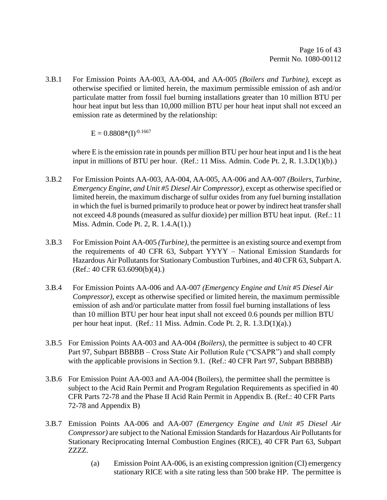3.B.1 For Emission Points AA-003, AA-004, and AA-005 *(Boilers and Turbine)*, except as otherwise specified or limited herein, the maximum permissible emission of ash and/or particulate matter from fossil fuel burning installations greater than 10 million BTU per hour heat input but less than 10,000 million BTU per hour heat input shall not exceed an emission rate as determined by the relationship:

 $E = 0.8808*(I)^{-0.1667}$ 

 where E is the emission rate in pounds per million BTU per hour heat input and I is the heat input in millions of BTU per hour. (Ref.: 11 Miss. Admin. Code Pt. 2, R. 1.3.D(1)(b).)

- 3.B.2 For Emission Points AA-003, AA-004, AA-005, AA-006 and AA-007 *(Boilers, Turbine, Emergency Engine, and Unit #5 Diesel Air Compressor)*, except as otherwise specified or limited herein, the maximum discharge of sulfur oxides from any fuel burning installation in which the fuel is burned primarily to produce heat or power by indirect heat transfer shall not exceed 4.8 pounds (measured as sulfur dioxide) per million BTU heat input. (Ref.: 11 Miss. Admin. Code Pt. 2, R. 1.4.A(1).)
- 3.B.3 For Emission Point AA-005 *(Turbine)*, the permittee is an existing source and exempt from the requirements of 40 CFR 63, Subpart YYYY – National Emission Standards for Hazardous Air Pollutants for Stationary Combustion Turbines, and 40 CFR 63, Subpart A. (Ref.: 40 CFR 63.6090(b)(4).)
- 3.B.4 For Emission Points AA-006 and AA-007 *(Emergency Engine and Unit #5 Diesel Air Compressor)*, except as otherwise specified or limited herein, the maximum permissible emission of ash and/or particulate matter from fossil fuel burning installations of less than 10 million BTU per hour heat input shall not exceed 0.6 pounds per million BTU per hour heat input. (Ref.: 11 Miss. Admin. Code Pt. 2, R. 1.3.D(1)(a).)
- 3.B.5 For Emission Points AA-003 and AA-004 *(Boilers)*, the permittee is subject to 40 CFR Part 97, Subpart BBBBB – Cross State Air Pollution Rule ("CSAPR") and shall comply with the applicable provisions in Section 9.1. (Ref.: 40 CFR Part 97, Subpart BBBBB)
- 3.B.6 For Emission Point AA-003 and AA-004 (Boilers), the permittee shall the permittee is subject to the Acid Rain Permit and Program Regulation Requirements as specified in 40 CFR Parts 72-78 and the Phase II Acid Rain Permit in Appendix B. (Ref.: 40 CFR Parts 72-78 and Appendix B)
- 3.B.7 Emission Points AA-006 and AA-007 *(Emergency Engine and Unit #5 Diesel Air Compressor)* are subject to the National Emission Standards for Hazardous Air Pollutants for Stationary Reciprocating Internal Combustion Engines (RICE), 40 CFR Part 63, Subpart ZZZZ.
	- (a) Emission Point AA-006, is an existing compression ignition (CI) emergency stationary RICE with a site rating less than 500 brake HP. The permittee is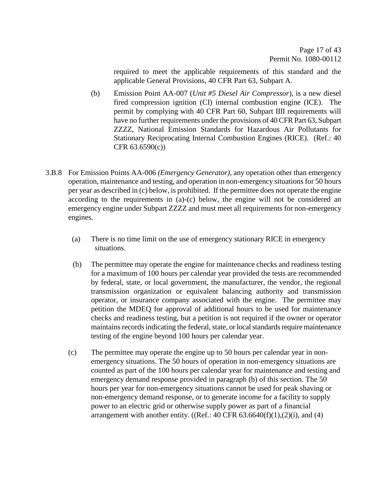required to meet the applicable requirements of this standard and the applicable General Provisions, 40 CFR Part 63, Subpart A.

- (b) Emission Point AA-007 (*Unit #5 Diesel Air Compressor*), is a new diesel fired compression ignition (CI) internal combustion engine (ICE). The permit by complying with 40 CFR Part 60, Subpart IIII requirements will have no further requirements under the provisions of 40 CFR Part 63, Subpart ZZZZ, National Emission Standards for Hazardous Air Pollutants for Stationary Reciprocating Internal Combustion Engines (RICE). (Ref.: 40 CFR 63.6590(c))
- 3.B.8 For Emission Points AA-006 *(Emergency Generator)*, any operation other than emergency operation, maintenance and testing, and operation in non-emergency situations for 50 hours per year as described in (c) below, is prohibited. If the permittee does not operate the engine according to the requirements in (a)-(c) below, the engine will not be considered an emergency engine under Subpart ZZZZ and must meet all requirements for non-emergency engines.
	- (a) There is no time limit on the use of emergency stationary RICE in emergency situations.
	- (b) The permittee may operate the engine for maintenance checks and readiness testing for a maximum of 100 hours per calendar year provided the tests are recommended by federal, state, or local government, the manufacturer, the vendor, the regional transmission organization or equivalent balancing authority and transmission operator, or insurance company associated with the engine. The permittee may petition the MDEQ for approval of additional hours to be used for maintenance checks and readiness testing, but a petition is not required if the owner or operator maintains records indicating the federal, state, or local standards require maintenance testing of the engine beyond 100 hours per calendar year.
	- (c) The permittee may operate the engine up to 50 hours per calendar year in nonemergency situations. The 50 hours of operation in non-emergency situations are counted as part of the 100 hours per calendar year for maintenance and testing and emergency demand response provided in paragraph (b) of this section. The 50 hours per year for non-emergency situations cannot be used for peak shaving or non-emergency demand response, or to generate income for a facility to supply power to an electric grid or otherwise supply power as part of a financial arrangement with another entity.  $((Ref.: 40 CFR 63.6640(f)(1), (2)(i), and (4))$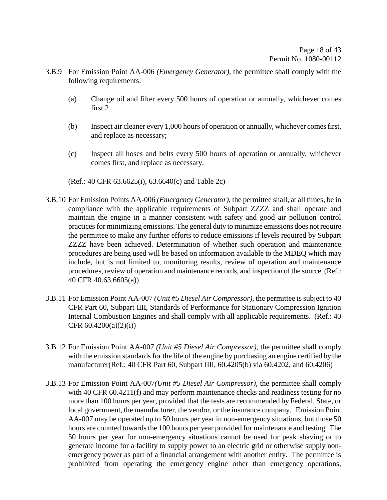- 3.B.9 For Emission Point AA-006 *(Emergency Generator)*, the permittee shall comply with the following requirements:
	- (a) Change oil and filter every 500 hours of operation or annually, whichever comes first.2
	- (b) Inspect air cleaner every 1,000 hours of operation or annually, whichever comes first, and replace as necessary;
	- (c) Inspect all hoses and belts every 500 hours of operation or annually, whichever comes first, and replace as necessary.

(Ref.: 40 CFR 63.6625(i), 63.6640(c) and Table 2c)

- 3.B.10 For Emission Points AA-006 *(Emergency Generator)*, the permittee shall, at all times, be in compliance with the applicable requirements of Subpart ZZZZ and shall operate and maintain the engine in a manner consistent with safety and good air pollution control practices for minimizing emissions. The general duty to minimize emissions does not require the permittee to make any further efforts to reduce emissions if levels required by Subpart ZZZZ have been achieved. Determination of whether such operation and maintenance procedures are being used will be based on information available to the MDEQ which may include, but is not limited to, monitoring results, review of operation and maintenance procedures, review of operation and maintenance records, and inspection of the source. (Ref.: 40 CFR 40.63.6605(a))
- 3.B.11 For Emission Point AA-007 *(Unit #5 Diesel Air Compressor)*, the permittee is subject to 40 CFR Part 60, Subpart IIII, Standards of Performance for Stationary Compression Ignition Internal Combustion Engines and shall comply with all applicable requirements. (Ref.: 40 CFR  $60.4200(a)(2)(i)$ )
- 3.B.12 For Emission Point AA-007 *(Unit #5 Diesel Air Compressor)*, the permittee shall comply with the emission standards for the life of the engine by purchasing an engine certified by the manufacturer(Ref.: 40 CFR Part 60, Subpart IIII, 60.4205(b) via 60.4202, and 60.4206)
- 3.B.13 For Emission Point AA-007*(Unit #5 Diesel Air Compressor)*, the permittee shall comply with 40 CFR 60.4211(f) and may perform maintenance checks and readiness testing for no more than 100 hours per year, provided that the tests are recommended by Federal, State, or local government, the manufacturer, the vendor, or the insurance company. Emission Point AA-007 may be operated up to 50 hours per year in non-emergency situations, but those 50 hours are counted towards the 100 hours per year provided for maintenance and testing. The 50 hours per year for non-emergency situations cannot be used for peak shaving or to generate income for a facility to supply power to an electric grid or otherwise supply nonemergency power as part of a financial arrangement with another entity. The permittee is prohibited from operating the emergency engine other than emergency operations,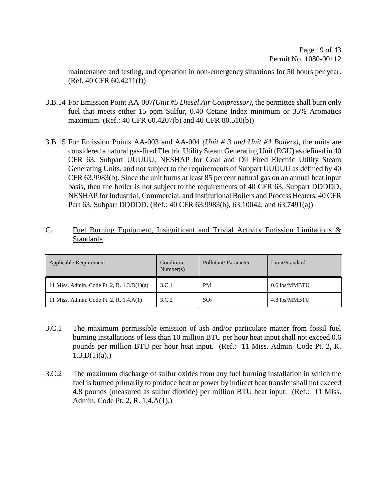maintenance and testing, and operation in non-emergency situations for 50 hours per year.  $(Ref. 40 CFR 60.4211(f))$ 

- 3.B.14 For Emission Point AA-007*(Unit #5 Diesel Air Compressor)*, the permittee shall burn only fuel that meets either 15 ppm Sulfur, 0.40 Cetane Index minimum or 35% Aromatics maximum. (Ref.: 40 CFR 60.4207(b) and 40 CFR 80.510(b))
- 3.B.15 For Emission Points AA-003 and AA-004 *(Unit # 3 and Unit #4 Boilers)*, the units are considered a natural gas-fired Electric Utility Steam Generating Unit (EGU) as defined in 40 CFR 63, Subpart UUUUU, NESHAP for Coal and Oil–Fired Electric Utility Steam Generating Units, and not subject to the requirements of Subpart UUUUU as defined by 40 CFR 63.9983(b). Since the unit burns at least 85 percent natural gas on an annual heat input basis, then the boiler is not subject to the requirements of 40 CFR 63, Subpart DDDDD, NESHAP for Industrial, Commercial, and Institutional Boilers and Process Heaters, 40 CFR Part 63, Subpart DDDDD. (Ref.: 40 CFR 63.9983(b), 63.10042, and 63.7491(a))
- C. Fuel Burning Equipment, Insignificant and Trivial Activity Emission Limitations & Standards

| Applicable Requirement                       | Condition<br>Number(s) | Pollutant/Parameter | Limit/Standard |
|----------------------------------------------|------------------------|---------------------|----------------|
| 11 Miss. Admin. Code Pt. 2, R. $1.3.D(1)(a)$ | 3.C.1                  | <b>PM</b>           | 0.6 lbs/MMBTU  |
| 11 Miss. Admin. Code Pt. 2, R. 1.4.A(1)      | 3.C.2                  | SO <sub>2</sub>     | 4.8 lbs/MMBTU  |

- 3.C.1 The maximum permissible emission of ash and/or particulate matter from fossil fuel burning installations of less than 10 million BTU per hour heat input shall not exceed 0.6 pounds per million BTU per hour heat input. (Ref.: 11 Miss. Admin. Code Pt. 2, R.  $1.3.D(1)(a)$ .)
- 3.C.2 The maximum discharge of sulfur oxides from any fuel burning installation in which the fuel is burned primarily to produce heat or power by indirect heat transfer shall not exceed 4.8 pounds (measured as sulfur dioxide) per million BTU heat input. (Ref.: 11 Miss. Admin. Code Pt. 2, R. 1.4.A(1).)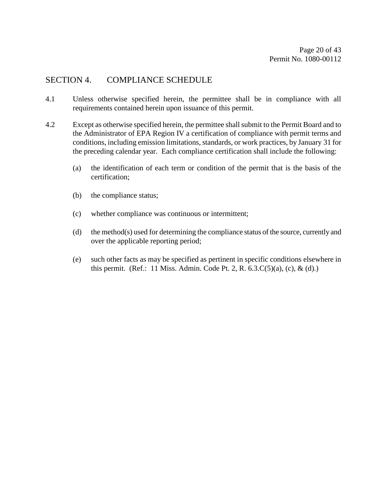## SECTION 4. COMPLIANCE SCHEDULE

- 4.1 Unless otherwise specified herein, the permittee shall be in compliance with all requirements contained herein upon issuance of this permit.
- 4.2 Except as otherwise specified herein, the permittee shall submit to the Permit Board and to the Administrator of EPA Region IV a certification of compliance with permit terms and conditions, including emission limitations, standards, or work practices, by January 31 for the preceding calendar year. Each compliance certification shall include the following:
	- (a) the identification of each term or condition of the permit that is the basis of the certification;
	- (b) the compliance status;
	- (c) whether compliance was continuous or intermittent;
	- (d) the method(s) used for determining the compliance status of the source, currently and over the applicable reporting period;
	- (e) such other facts as may be specified as pertinent in specific conditions elsewhere in this permit. (Ref.: 11 Miss. Admin. Code Pt. 2, R. 6.3.C(5)(a), (c), & (d).)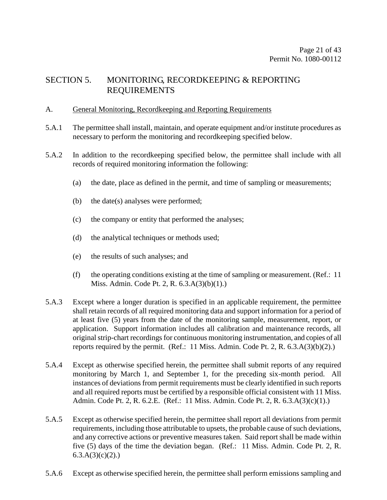# SECTION 5. MONITORING, RECORDKEEPING & REPORTING REQUIREMENTS

#### A. General Monitoring, Recordkeeping and Reporting Requirements

- 5.A.1 The permittee shall install, maintain, and operate equipment and/or institute procedures as necessary to perform the monitoring and recordkeeping specified below.
- 5.A.2 In addition to the recordkeeping specified below, the permittee shall include with all records of required monitoring information the following:
	- (a) the date, place as defined in the permit, and time of sampling or measurements;
	- (b) the date(s) analyses were performed;
	- (c) the company or entity that performed the analyses;
	- (d) the analytical techniques or methods used;
	- (e) the results of such analyses; and
	- (f) the operating conditions existing at the time of sampling or measurement. (Ref.: 11 Miss. Admin. Code Pt. 2, R. 6.3.A(3)(b)(1).)
- 5.A.3 Except where a longer duration is specified in an applicable requirement, the permittee shall retain records of all required monitoring data and support information for a period of at least five (5) years from the date of the monitoring sample, measurement, report, or application. Support information includes all calibration and maintenance records, all original strip-chart recordings for continuous monitoring instrumentation, and copies of all reports required by the permit. (Ref.: 11 Miss. Admin. Code Pt. 2, R. 6.3.A(3)(b)(2).)
- 5.A.4 Except as otherwise specified herein, the permittee shall submit reports of any required monitoring by March 1, and September 1, for the preceding six-month period. All instances of deviations from permit requirements must be clearly identified in such reports and all required reports must be certified by a responsible official consistent with 11 Miss. Admin. Code Pt. 2, R. 6.2.E. (Ref.: 11 Miss. Admin. Code Pt. 2, R. 6.3.A(3)(c)(1).)
- 5.A.5 Except as otherwise specified herein, the permittee shall report all deviations from permit requirements, including those attributable to upsets, the probable cause of such deviations, and any corrective actions or preventive measures taken. Said report shall be made within five (5) days of the time the deviation began. (Ref.: 11 Miss. Admin. Code Pt. 2, R.  $6.3.A(3)(c)(2)$ .
- 5.A.6 Except as otherwise specified herein, the permittee shall perform emissions sampling and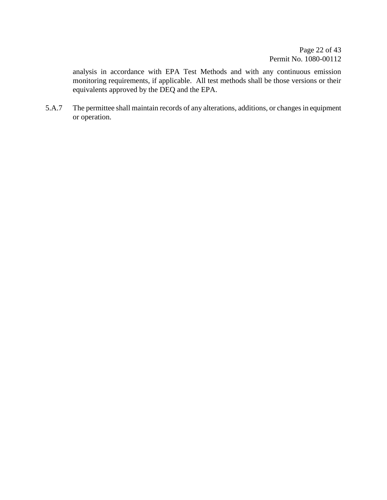analysis in accordance with EPA Test Methods and with any continuous emission monitoring requirements, if applicable. All test methods shall be those versions or their equivalents approved by the DEQ and the EPA.

5.A.7 The permittee shall maintain records of any alterations, additions, or changes in equipment or operation.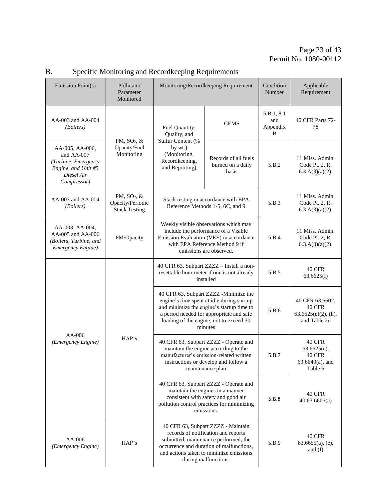| Emission Point(s)                                                                                        | Pollutant/<br>Parameter<br>Monitored                                | Monitoring/Recordkeeping Requirement                                                                                                                                                                                               |                                                                          | Condition<br>Number                | Applicable<br>Requirement                                                      |
|----------------------------------------------------------------------------------------------------------|---------------------------------------------------------------------|------------------------------------------------------------------------------------------------------------------------------------------------------------------------------------------------------------------------------------|--------------------------------------------------------------------------|------------------------------------|--------------------------------------------------------------------------------|
| AA-003 and AA-004<br>(Boilers)                                                                           |                                                                     | Fuel Quantity,<br>Quality, and                                                                                                                                                                                                     | <b>CEMS</b>                                                              | 5.B.1, 8.1<br>and<br>Appendix<br>B | 40 CFR Parts 72-<br>78                                                         |
| AA-005, AA-006,<br>and AA-007<br>(Turbine, Emergency<br>Engine, and Unit #5<br>Diesel Air<br>Compressor) | PM, $SO2$ , $\&$<br>Opacity/Fuel<br>Monitoring                      | Sulfur Content (%<br>by wt.)<br>(Monitoring,<br>Recordkeeping,<br>and Reporting)                                                                                                                                                   | Records of all fuels<br>burned on a daily<br>basis                       | 5.B.2                              | 11 Miss. Admin.<br>Code Pt. 2, R.<br>$6.3.A(3)(a)(2)$ .                        |
| AA-003 and AA-004<br>(Boilers)                                                                           | PM, SO <sub>2</sub> , &<br>Opacity/Periodic<br><b>Stack Testing</b> |                                                                                                                                                                                                                                    | Stack testing in accordance with EPA<br>Reference Methods 1-5, 6C, and 9 | 5.B.3                              | 11 Miss. Admin.<br>Code Pt. 2, R.<br>$6.3.A(3)(a)(2)$ .                        |
| AA-003, AA-004,<br>AA-005 and AA-006<br>(Boilers, Turbine, and<br>Emergency Engine)                      | PM/Opacity                                                          | Weekly visible observations which may<br>include the performance of a Visible<br>Emission Evaluation (VEE) in accordance<br>with EPA Reference Method 9 if<br>emissions are observed.                                              |                                                                          | 5.B.4                              | 11 Miss. Admin.<br>Code Pt. 2, R.<br>$6.3.A(3)(a)(2)$ .                        |
| AA-006<br>(Emergency Engine)                                                                             | HAP's                                                               | 40 CFR 63, Subpart ZZZZ - Install a non-<br>resettable hour meter if one is not already<br>installed                                                                                                                               |                                                                          | 5.B.5                              | <b>40 CFR</b><br>63.6625(f)                                                    |
|                                                                                                          |                                                                     | 40 CFR 63, Subpart ZZZZ -Minimize the<br>engine's time spent at idle during startup<br>and minimize the engine's startup time to<br>a period needed for appropriate and safe<br>loading of the engine, not to exceed 30<br>minutes |                                                                          | 5.B.6                              | 40 CFR 63.6602,<br>40 CFR<br>$63.6625(e)(2)$ , (h),<br>and Table 2c            |
|                                                                                                          |                                                                     | 40 CFR 63, Subpart ZZZZ - Operate and<br>maintain the engine according to the<br>manufacturer's emission-related written<br>instructions or develop and follow a<br>maintenance plan                                               |                                                                          | 5.B.7                              | <b>40 CFR</b><br>63.6625(e),<br><b>40 CFR</b><br>$63.6640(a)$ , and<br>Table 6 |
|                                                                                                          |                                                                     | 40 CFR 63, Subpart ZZZZ - Operate and<br>maintain the engines in a manner<br>consistent with safety and good air<br>pollution control practices for minimizing<br>emissions.                                                       |                                                                          | 5.B.8                              | <b>40 CFR</b><br>40.63.6605(a)                                                 |
| $AA-006$<br>(Emergency Engine)                                                                           | HAP's                                                               | 40 CFR 63, Subpart ZZZZ - Maintain<br>records of notification and reports<br>submitted, maintenance performed, the<br>occurrence and duration of malfunctions,<br>and actions taken to minimize emissions<br>during malfunctions.  |                                                                          | 5.B.9                              | <b>40 CFR</b><br>$63.6655(a)$ , (e),<br>and $(f)$                              |

# B. Specific Monitoring and Recordkeeping Requirements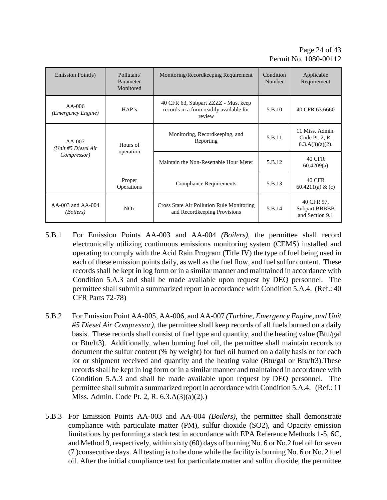| Emission Point(s)                     | Pollutant/<br>Parameter<br>Monitored | Monitoring/Recordkeeping Requirement                                                     | Condition<br>Number | Applicable<br>Requirement                               |
|---------------------------------------|--------------------------------------|------------------------------------------------------------------------------------------|---------------------|---------------------------------------------------------|
| $AA-006$<br>(Emergency Engine)        | HAP's                                | 40 CFR 63, Subpart ZZZZ - Must keep<br>records in a form readily available for<br>review | 5.B.10              | 40 CFR 63.6660                                          |
| AA-007<br>(Unit #5 Diesel Air         | Hours of                             | Monitoring, Recordkeeping, and<br>Reporting                                              | 5.B.11              | 11 Miss. Admin.<br>Code Pt. 2, R.<br>$6.3.A(3)(a)(2)$ . |
| Compressor)                           | operation                            | Maintain the Non-Resettable Hour Meter                                                   | 5.B.12              | <b>40 CFR</b><br>60.4209(a)                             |
|                                       | Proper<br>Operations                 | <b>Compliance Requirements</b>                                                           | 5.B.13              | <b>40 CFR</b><br>60.4211(a) & (c)                       |
| AA-003 and AA-004<br><i>(Boilers)</i> | NO <sub>x</sub>                      | Cross State Air Pollution Rule Monitoring<br>and Recordkeeping Provisions                | 5.B.14              | 40 CFR 97,<br><b>Subpart BBBBB</b><br>and Section 9.1   |

- 5.B.1 For Emission Points AA-003 and AA-004 *(Boilers)*, the permittee shall record electronically utilizing continuous emissions monitoring system (CEMS) installed and operating to comply with the Acid Rain Program (Title IV) the type of fuel being used in each of these emission points daily, as well as the fuel flow, and fuel sulfur content. These records shall be kept in log form or in a similar manner and maintained in accordance with Condition 5.A.3 and shall be made available upon request by DEQ personnel. The permittee shall submit a summarized report in accordance with Condition 5.A.4. (Ref.: 40 CFR Parts 72-78)
- 5.B.2 For Emission Point AA-005, AA-006, and AA-007 *(Turbine, Emergency Engine, and Unit #5 Diesel Air Compressor)*, the permittee shall keep records of all fuels burned on a daily basis. These records shall consist of fuel type and quantity, and the heating value (Btu/gal or Btu/ft3). Additionally, when burning fuel oil, the permittee shall maintain records to document the sulfur content (% by weight) for fuel oil burned on a daily basis or for each lot or shipment received and quantity and the heating value (Btu/gal or Btu/ft3).These records shall be kept in log form or in a similar manner and maintained in accordance with Condition 5.A.3 and shall be made available upon request by DEQ personnel. The permittee shall submit a summarized report in accordance with Condition 5.A.4. (Ref.: 11 Miss. Admin. Code Pt. 2, R. 6.3.A(3)(a)(2).)
- 5.B.3 For Emission Points AA-003 and AA-004 *(Boilers)*, the permittee shall demonstrate compliance with particulate matter (PM), sulfur dioxide (SO2), and Opacity emission limitations by performing a stack test in accordance with EPA Reference Methods 1-5, 6C, and Method 9, respectively, within sixty (60) days of burning No. 6 or No.2 fuel oil for seven (7 )consecutive days. All testing is to be done while the facility is burning No. 6 or No. 2 fuel oil. After the initial compliance test for particulate matter and sulfur dioxide, the permittee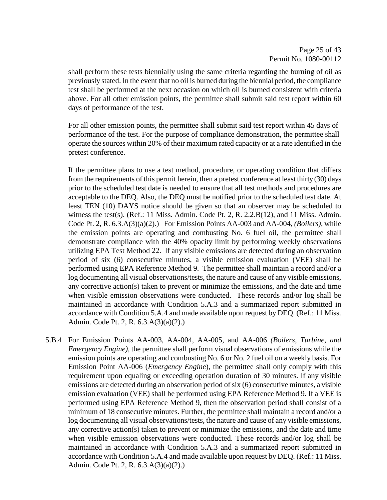shall perform these tests biennially using the same criteria regarding the burning of oil as previously stated. In the event that no oil is burned during the biennial period, the compliance test shall be performed at the next occasion on which oil is burned consistent with criteria above. For all other emission points, the permittee shall submit said test report within 60 days of performance of the test.

For all other emission points, the permittee shall submit said test report within 45 days of performance of the test. For the purpose of compliance demonstration, the permittee shall operate the sources within 20% of their maximum rated capacity or at a rate identified in the pretest conference.

If the permittee plans to use a test method, procedure, or operating condition that differs from the requirements of this permit herein, then a pretest conference at least thirty (30) days prior to the scheduled test date is needed to ensure that all test methods and procedures are acceptable to the DEQ. Also, the DEQ must be notified prior to the scheduled test date. At least TEN (10) DAYS notice should be given so that an observer may be scheduled to witness the test(s). (Ref.: 11 Miss. Admin. Code Pt. 2, R. 2.2.B(12), and 11 Miss. Admin. Code Pt. 2, R. 6.3.A(3)(a)(2).) For Emission Points AA-003 and AA-004, *(Boilers)*, while the emission points are operating and combusting No. 6 fuel oil, the permittee shall demonstrate compliance with the 40% opacity limit by performing weekly observations utilizing EPA Test Method 22. If any visible emissions are detected during an observation period of six (6) consecutive minutes, a visible emission evaluation (VEE) shall be performed using EPA Reference Method 9. The permittee shall maintain a record and/or a log documenting all visual observations/tests, the nature and cause of any visible emissions, any corrective action(s) taken to prevent or minimize the emissions, and the date and time when visible emission observations were conducted. These records and/or log shall be maintained in accordance with Condition 5.A.3 and a summarized report submitted in accordance with Condition 5.A.4 and made available upon request by DEQ. (Ref.: 11 Miss. Admin. Code Pt. 2, R. 6.3.A(3)(a)(2).)

5.B.4 For Emission Points AA-003, AA-004, AA-005, and AA-006 *(Boilers, Turbine, and Emergency Engine)*, the permittee shall perform visual observations of emissions while the emission points are operating and combusting No. 6 or No. 2 fuel oil on a weekly basis. For Emission Point AA-006 (*Emergency Engine*), the permittee shall only comply with this requirement upon equaling or exceeding operation duration of 30 minutes. If any visible emissions are detected during an observation period of six (6) consecutive minutes, a visible emission evaluation (VEE) shall be performed using EPA Reference Method 9. If a VEE is performed using EPA Reference Method 9, then the observation period shall consist of a minimum of 18 consecutive minutes. Further, the permittee shall maintain a record and/or a log documenting all visual observations/tests, the nature and cause of any visible emissions, any corrective action(s) taken to prevent or minimize the emissions, and the date and time when visible emission observations were conducted. These records and/or log shall be maintained in accordance with Condition 5.A.3 and a summarized report submitted in accordance with Condition 5.A.4 and made available upon request by DEQ. (Ref.: 11 Miss. Admin. Code Pt. 2, R. 6.3.A(3)(a)(2).)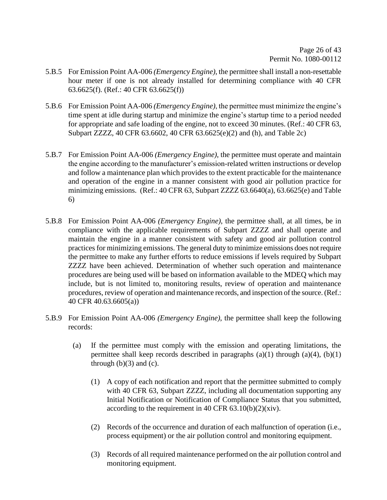- 5.B.5 For Emission Point AA-006 *(Emergency Engine)*, the permittee shall install a non-resettable hour meter if one is not already installed for determining compliance with 40 CFR 63.6625(f). (Ref.: 40 CFR 63.6625(f))
- 5.B.6 For Emission Point AA-006 *(Emergency Engine)*, the permittee must minimize the engine's time spent at idle during startup and minimize the engine's startup time to a period needed for appropriate and safe loading of the engine, not to exceed 30 minutes. (Ref.: 40 CFR 63, Subpart ZZZZ, 40 CFR 63.6602, 40 CFR 63.6625(e)(2) and (h), and Table 2c)
- 5.B.7 For Emission Point AA-006 *(Emergency Engine)*, the permittee must operate and maintain the engine according to the manufacturer's emission-related written instructions or develop and follow a maintenance plan which provides to the extent practicable for the maintenance and operation of the engine in a manner consistent with good air pollution practice for minimizing emissions. (Ref.: 40 CFR 63, Subpart ZZZZ 63.6640(a), 63.6625(e) and Table 6)
- 5.B.8 For Emission Point AA-006 *(Emergency Engine)*, the permittee shall, at all times, be in compliance with the applicable requirements of Subpart ZZZZ and shall operate and maintain the engine in a manner consistent with safety and good air pollution control practices for minimizing emissions. The general duty to minimize emissions does not require the permittee to make any further efforts to reduce emissions if levels required by Subpart ZZZZ have been achieved. Determination of whether such operation and maintenance procedures are being used will be based on information available to the MDEQ which may include, but is not limited to, monitoring results, review of operation and maintenance procedures, review of operation and maintenance records, and inspection of the source. (Ref.: 40 CFR 40.63.6605(a))
- 5.B.9 For Emission Point AA-006 *(Emergency Engine)*, the permittee shall keep the following records:
	- (a) If the permittee must comply with the emission and operating limitations, the permittee shall keep records described in paragraphs  $(a)(1)$  through  $(a)(4)$ ,  $(b)(1)$ through  $(b)(3)$  and  $(c)$ .
		- (1) A copy of each notification and report that the permittee submitted to comply with 40 CFR 63, Subpart ZZZZ, including all documentation supporting any Initial Notification or Notification of Compliance Status that you submitted, according to the requirement in 40 CFR  $63.10(b)(2)(xiv)$ .
		- (2) Records of the occurrence and duration of each malfunction of operation (i.e., process equipment) or the air pollution control and monitoring equipment.
		- (3) Records of all required maintenance performed on the air pollution control and monitoring equipment.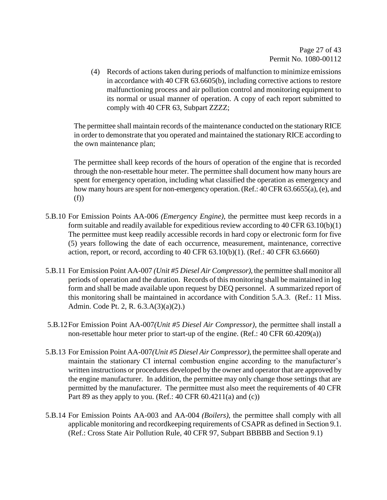(4) Records of actions taken during periods of malfunction to minimize emissions in accordance with 40 CFR 63.6605(b), including corrective actions to restore malfunctioning process and air pollution control and monitoring equipment to its normal or usual manner of operation. A copy of each report submitted to comply with 40 CFR 63, Subpart ZZZZ;

The permittee shall maintain records of the maintenance conducted on the stationary RICE in order to demonstrate that you operated and maintained the stationary RICE according to the own maintenance plan;

The permittee shall keep records of the hours of operation of the engine that is recorded through the non-resettable hour meter. The permittee shall document how many hours are spent for emergency operation, including what classified the operation as emergency and how many hours are spent for non-emergency operation. (Ref.: 40 CFR 63.6655(a), (e), and (f))

- 5.B.10 For Emission Points AA-006 *(Emergency Engine)*, the permittee must keep records in a form suitable and readily available for expeditious review according to 40 CFR 63.10(b)(1) The permittee must keep readily accessible records in hard copy or electronic form for five (5) years following the date of each occurrence, measurement, maintenance, corrective action, report, or record, according to 40 CFR 63.10(b)(1). (Ref.: 40 CFR 63.6660)
- 5.B.11 For Emission Point AA-007 *(Unit #5 Diesel Air Compressor)*, the permittee shall monitor all periods of operation and the duration. Records of this monitoring shall be maintained in log form and shall be made available upon request by DEQ personnel. A summarized report of this monitoring shall be maintained in accordance with Condition 5.A.3. (Ref.: 11 Miss. Admin. Code Pt. 2, R. 6.3.A(3)(a)(2).)
- 5.B.12For Emission Point AA-007*(Unit #5 Diesel Air Compressor)*, the permittee shall install a non-resettable hour meter prior to start-up of the engine. (Ref.: 40 CFR 60.4209(a))
- 5.B.13 For Emission Point AA-007*(Unit #5 Diesel Air Compressor)*, the permittee shall operate and maintain the stationary CI internal combustion engine according to the manufacturer's written instructions or procedures developed by the owner and operator that are approved by the engine manufacturer. In addition, the permittee may only change those settings that are permitted by the manufacturer. The permittee must also meet the requirements of 40 CFR Part 89 as they apply to you. (Ref.:  $40 \text{ CFR } 60.4211(a)$  and (c))
- 5.B.14 For Emission Points AA-003 and AA-004 *(Boilers)*, the permittee shall comply with all applicable monitoring and recordkeeping requirements of CSAPR as defined in Section 9.1. (Ref.: Cross State Air Pollution Rule, 40 CFR 97, Subpart BBBBB and Section 9.1)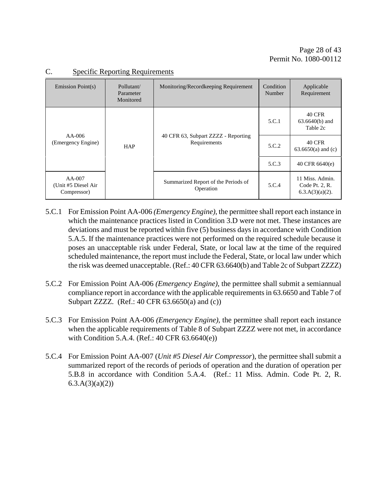| Emission Point(s)                               | Pollutant/<br>Parameter<br>Monitored | Monitoring/Recordkeeping Requirement                | Condition<br>Number | Applicable<br>Requirement                               |
|-------------------------------------------------|--------------------------------------|-----------------------------------------------------|---------------------|---------------------------------------------------------|
|                                                 |                                      |                                                     | 5.C.1               | 40 CFR<br>$63.6640(b)$ and<br>Table 2c                  |
| $AA-006$<br>(Emergency Engine)                  | <b>HAP</b>                           | 40 CFR 63, Subpart ZZZZ - Reporting<br>Requirements | 5.C.2               | 40 CFR<br>$63.6650(a)$ and (c)                          |
|                                                 |                                      |                                                     | 5.C.3               | 40 CFR 6640(e)                                          |
| $AA-007$<br>(Unit #5 Diesel Air)<br>Compressor) |                                      | Summarized Report of the Periods of<br>Operation    | 5.C.4               | 11 Miss. Admin.<br>Code Pt. 2, R.<br>$6.3.A(3)(a)(2)$ . |

#### C. Specific Reporting Requirements

- 5.C.1 For Emission Point AA-006 *(Emergency Engine)*, the permittee shall report each instance in which the maintenance practices listed in Condition 3.D were not met. These instances are deviations and must be reported within five (5) business days in accordance with Condition 5.A.5. If the maintenance practices were not performed on the required schedule because it poses an unacceptable risk under Federal, State, or local law at the time of the required scheduled maintenance, the report must include the Federal, State, or local law under which the risk was deemed unacceptable. (Ref.: 40 CFR 63.6640(b) and Table 2c of Subpart ZZZZ)
- 5.C.2 For Emission Point AA-006 *(Emergency Engine)*, the permittee shall submit a semiannual compliance report in accordance with the applicable requirements in 63.6650 and Table 7 of Subpart ZZZZ. (Ref.: 40 CFR 63.6650(a) and (c))
- 5.C.3 For Emission Point AA-006 *(Emergency Engine)*, the permittee shall report each instance when the applicable requirements of Table 8 of Subpart ZZZZ were not met, in accordance with Condition 5.A.4. (Ref.: 40 CFR 63.6640(e))
- 5.C.4 For Emission Point AA-007 (*Unit #5 Diesel Air Compressor*), the permittee shall submit a summarized report of the records of periods of operation and the duration of operation per 5.B.8 in accordance with Condition 5.A.4. (Ref.: 11 Miss. Admin. Code Pt. 2, R.  $6.3.A(3)(a)(2)$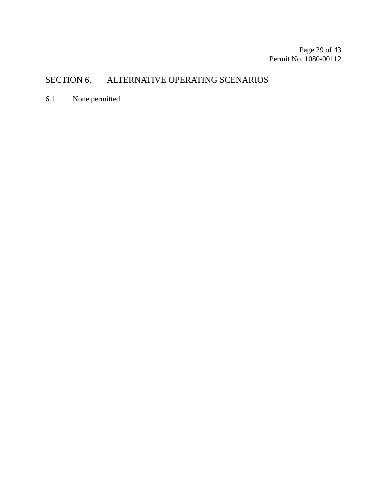# SECTION 6. ALTERNATIVE OPERATING SCENARIOS

6.1 None permitted.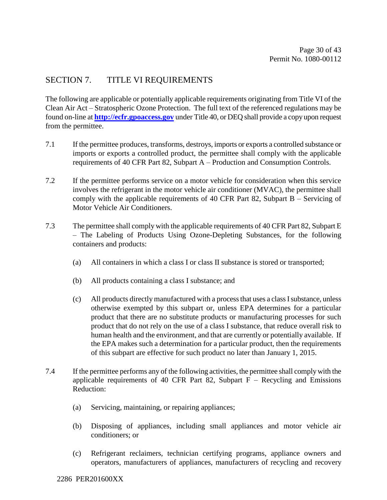# SECTION 7. TITLE VI REQUIREMENTS

The following are applicable or potentially applicable requirements originating from Title VI of the Clean Air Act – Stratospheric Ozone Protection. The full text of the referenced regulations may be found on-line at **[http://ecfr.gpoaccess.gov](http://ecfr.gpoaccess.gov/)** under Title 40, or DEQ shall provide a copy upon request from the permittee.

- 7.1 If the permittee produces, transforms, destroys, imports or exports a controlled substance or imports or exports a controlled product, the permittee shall comply with the applicable requirements of 40 CFR Part 82, Subpart A – Production and Consumption Controls.
- 7.2 If the permittee performs service on a motor vehicle for consideration when this service involves the refrigerant in the motor vehicle air conditioner (MVAC), the permittee shall comply with the applicable requirements of 40 CFR Part 82, Subpart B – Servicing of Motor Vehicle Air Conditioners.
- 7.3 The permittee shall comply with the applicable requirements of 40 CFR Part 82, Subpart E – The Labeling of Products Using Ozone-Depleting Substances, for the following containers and products:
	- (a) All containers in which a class I or class II substance is stored or transported;
	- (b) All products containing a class I substance; and
	- (c) All products directly manufactured with a process that uses a class I substance, unless otherwise exempted by this subpart or, unless EPA determines for a particular product that there are no substitute products or manufacturing processes for such product that do not rely on the use of a class I substance, that reduce overall risk to human health and the environment, and that are currently or potentially available. If the EPA makes such a determination for a particular product, then the requirements of this subpart are effective for such product no later than January 1, 2015.
- 7.4 If the permittee performs any of the following activities, the permittee shall comply with the applicable requirements of 40 CFR Part 82, Subpart  $\overline{F}$  – Recycling and Emissions Reduction:
	- (a) Servicing, maintaining, or repairing appliances;
	- (b) Disposing of appliances, including small appliances and motor vehicle air conditioners; or
	- (c) Refrigerant reclaimers, technician certifying programs, appliance owners and operators, manufacturers of appliances, manufacturers of recycling and recovery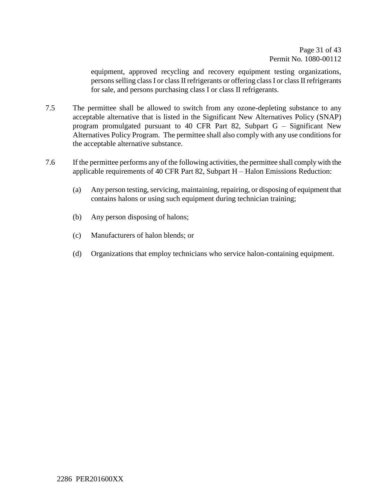equipment, approved recycling and recovery equipment testing organizations, persons selling class I or class II refrigerants or offering class I or class II refrigerants for sale, and persons purchasing class I or class II refrigerants.

- 7.5 The permittee shall be allowed to switch from any ozone-depleting substance to any acceptable alternative that is listed in the Significant New Alternatives Policy (SNAP) program promulgated pursuant to 40 CFR Part 82, Subpart G – Significant New Alternatives Policy Program. The permittee shall also comply with any use conditions for the acceptable alternative substance.
- 7.6 If the permittee performs any of the following activities, the permittee shall comply with the applicable requirements of 40 CFR Part 82, Subpart H – Halon Emissions Reduction:
	- (a) Any person testing, servicing, maintaining, repairing, or disposing of equipment that contains halons or using such equipment during technician training;
	- (b) Any person disposing of halons;
	- (c) Manufacturers of halon blends; or
	- (d) Organizations that employ technicians who service halon-containing equipment.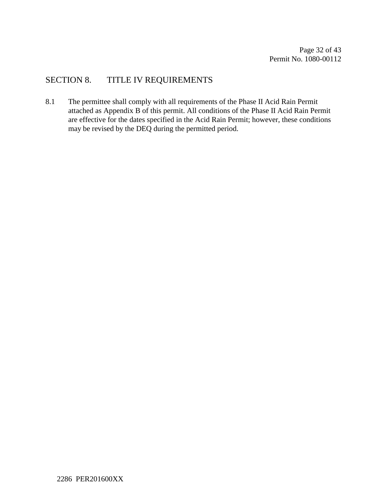# SECTION 8. TITLE IV REQUIREMENTS

8.1 The permittee shall comply with all requirements of the Phase II Acid Rain Permit attached as Appendix B of this permit. All conditions of the Phase II Acid Rain Permit are effective for the dates specified in the Acid Rain Permit; however, these conditions may be revised by the DEQ during the permitted period.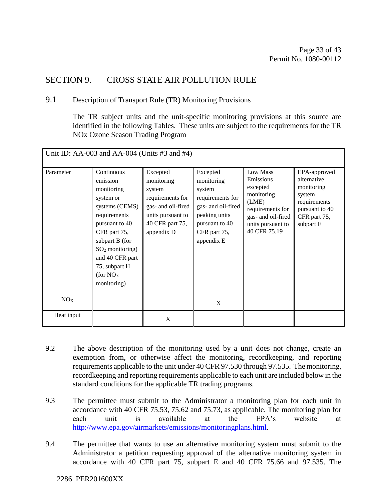# SECTION 9. CROSS STATE AIR POLLUTION RULE

#### 9.1 Description of Transport Rule (TR) Monitoring Provisions

The TR subject units and the unit-specific monitoring provisions at this source are identified in the following Tables. These units are subject to the requirements for the TR NOx Ozone Season Trading Program

| Unit ID: AA-003 and AA-004 (Units $#3$ and $#4$ ) |                                                                                                                                                                                                                                           |                                                                                                                                  |                                                                                                                                             |                                                                                                                                         |                                                                                                                    |
|---------------------------------------------------|-------------------------------------------------------------------------------------------------------------------------------------------------------------------------------------------------------------------------------------------|----------------------------------------------------------------------------------------------------------------------------------|---------------------------------------------------------------------------------------------------------------------------------------------|-----------------------------------------------------------------------------------------------------------------------------------------|--------------------------------------------------------------------------------------------------------------------|
| Parameter                                         | Continuous<br>emission<br>monitoring<br>system or<br>systems (CEMS)<br>requirements<br>pursuant to 40<br>CFR part 75,<br>subpart B (for<br>$SO2$ monitoring)<br>and 40 CFR part<br>75, subpart H<br>(for NO <sub>X</sub> )<br>monitoring) | Excepted<br>monitoring<br>system<br>requirements for<br>gas- and oil-fired<br>units pursuant to<br>40 CFR part 75,<br>appendix D | Excepted<br>monitoring<br>system<br>requirements for<br>gas- and oil-fired<br>peaking units<br>pursuant to 40<br>CFR part 75,<br>appendix E | Low Mass<br>Emissions<br>excepted<br>monitoring<br>(LME)<br>requirements for<br>gas- and oil-fired<br>units pursuant to<br>40 CFR 75.19 | EPA-approved<br>alternative<br>monitoring<br>system<br>requirements<br>pursuant to 40<br>CFR part 75,<br>subpart E |
| NO <sub>X</sub>                                   |                                                                                                                                                                                                                                           |                                                                                                                                  | X                                                                                                                                           |                                                                                                                                         |                                                                                                                    |
| Heat input                                        |                                                                                                                                                                                                                                           | X                                                                                                                                |                                                                                                                                             |                                                                                                                                         |                                                                                                                    |

- 9.2 The above description of the monitoring used by a unit does not change, create an exemption from, or otherwise affect the monitoring, recordkeeping, and reporting requirements applicable to the unit under 40 CFR 97.530 through 97.535. The monitoring, recordkeeping and reporting requirements applicable to each unit are included below in the standard conditions for the applicable TR trading programs.
- 9.3 The permittee must submit to the Administrator a monitoring plan for each unit in accordance with 40 CFR 75.53, 75.62 and 75.73, as applicable. The monitoring plan for each unit is available at the EPA's website at [http://www.epa.gov/airmarkets/emissions/monitoringplans.html.](http://www.epa.gov/airmarkets/emissions/monitoringplans.html)
- 9.4 The permittee that wants to use an alternative monitoring system must submit to the Administrator a petition requesting approval of the alternative monitoring system in accordance with 40 CFR part 75, subpart E and 40 CFR 75.66 and 97.535. The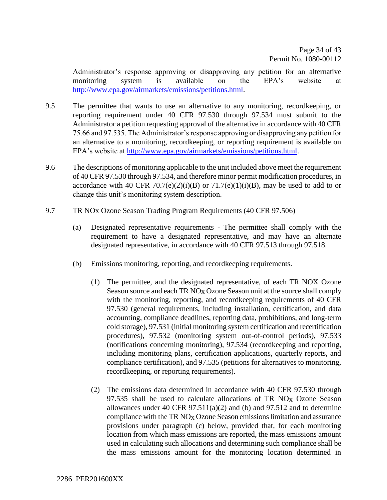Administrator's response approving or disapproving any petition for an alternative monitoring system is available on the EPA's website at [http://www.epa.gov/airmarkets/emissions/petitions.html.](http://www.epa.gov/airmarkets/emissions/petitions.html)

- 9.5 The permittee that wants to use an alternative to any monitoring, recordkeeping, or reporting requirement under 40 CFR 97.530 through 97.534 must submit to the Administrator a petition requesting approval of the alternative in accordance with 40 CFR 75.66 and 97.535. The Administrator's response approving or disapproving any petition for an alternative to a monitoring, recordkeeping, or reporting requirement is available on EPA's website at [http://www.epa.gov/airmarkets/emissions/petitions.html.](http://www.epa.gov/airmarkets/emissions/petitions.html)
- 9.6 The descriptions of monitoring applicable to the unit included above meet the requirement of 40 CFR 97.530 through 97.534, and therefore minor permit modification procedures, in accordance with 40 CFR 70.7(e)(2)(i)(B) or  $71.7(e)(1)(i)(B)$ , may be used to add to or change this unit's monitoring system description.
- 9.7 TR NOx Ozone Season Trading Program Requirements (40 CFR 97.506)
	- (a) Designated representative requirements The permittee shall comply with the requirement to have a designated representative, and may have an alternate designated representative, in accordance with 40 CFR 97.513 through 97.518.
	- (b) Emissions monitoring, reporting, and recordkeeping requirements.
		- (1) The permittee, and the designated representative, of each TR NOX Ozone Season source and each  $TR NO<sub>X</sub>Oz$  Season unit at the source shall comply with the monitoring, reporting, and recordkeeping requirements of 40 CFR 97.530 (general requirements, including installation, certification, and data accounting, compliance deadlines, reporting data, prohibitions, and long-term cold storage), 97.531 (initial monitoring system certification and recertification procedures), 97.532 (monitoring system out-of-control periods), 97.533 (notifications concerning monitoring), 97.534 (recordkeeping and reporting, including monitoring plans, certification applications, quarterly reports, and compliance certification), and 97.535 (petitions for alternatives to monitoring, recordkeeping, or reporting requirements).
		- (2) The emissions data determined in accordance with 40 CFR 97.530 through 97.535 shall be used to calculate allocations of TR  $NO_X$  Ozone Season allowances under 40 CFR  $97.511(a)(2)$  and (b) and  $97.512$  and to determine compliance with the TR  $NO_X$  Ozone Season emissions limitation and assurance provisions under paragraph (c) below, provided that, for each monitoring location from which mass emissions are reported, the mass emissions amount used in calculating such allocations and determining such compliance shall be the mass emissions amount for the monitoring location determined in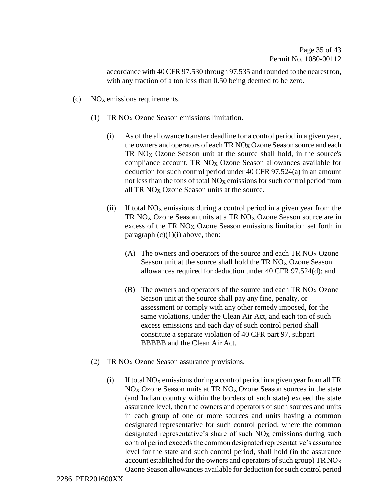accordance with 40 CFR 97.530 through 97.535 and rounded to the nearest ton, with any fraction of a ton less than 0.50 being deemed to be zero.

- $\rm (c)$  NO<sub>X</sub> emissions requirements.
	- (1) TR NO<sup>X</sup> Ozone Season emissions limitation.
		- (i) As of the allowance transfer deadline for a control period in a given year, the owners and operators of each TR  $NO<sub>X</sub>$  Ozone Season source and each TR  $NO<sub>X</sub>$  Ozone Season unit at the source shall hold, in the source's compliance account, TR  $NO<sub>X</sub>$  Ozone Season allowances available for deduction for such control period under 40 CFR 97.524(a) in an amount not less than the tons of total  $NO<sub>X</sub>$  emissions for such control period from all TR  $NO<sub>x</sub> Oz$  Ozone Season units at the source.
		- (ii) If total  $NO<sub>X</sub>$  emissions during a control period in a given year from the TR NO<sub>X</sub> Ozone Season units at a TR NO<sub>X</sub> Ozone Season source are in excess of the TR NO<sub>X</sub> Ozone Season emissions limitation set forth in paragraph  $(c)(1)(i)$  above, then:
			- (A) The owners and operators of the source and each TR  $NO<sub>X</sub>$  Ozone Season unit at the source shall hold the TR  $NO<sub>X</sub>$  Ozone Season allowances required for deduction under 40 CFR 97.524(d); and
			- (B) The owners and operators of the source and each TR  $NO_X$  Ozone Season unit at the source shall pay any fine, penalty, or assessment or comply with any other remedy imposed, for the same violations, under the Clean Air Act, and each ton of such excess emissions and each day of such control period shall constitute a separate violation of 40 CFR part 97, subpart BBBBB and the Clean Air Act.
	- (2) TR  $NO<sub>X</sub>$  Ozone Season assurance provisions.
		- (i) If total  $NO<sub>X</sub>$  emissions during a control period in a given year from all TR  $NO<sub>X</sub>$  Ozone Season units at TR  $NO<sub>X</sub>$  Ozone Season sources in the state (and Indian country within the borders of such state) exceed the state assurance level, then the owners and operators of such sources and units in each group of one or more sources and units having a common designated representative for such control period, where the common designated representative's share of such  $NO<sub>X</sub>$  emissions during such control period exceeds the common designated representative's assurance level for the state and such control period, shall hold (in the assurance account established for the owners and operators of such group)  $TR NO_X$ Ozone Season allowances available for deduction for such control period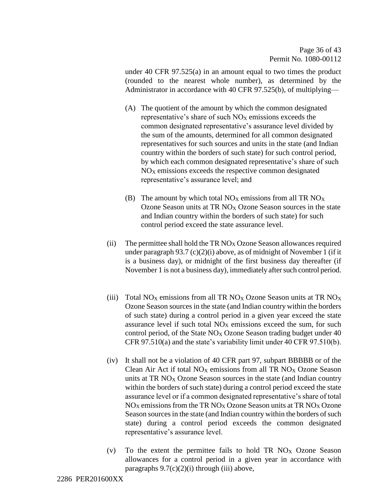under 40 CFR 97.525(a) in an amount equal to two times the product (rounded to the nearest whole number), as determined by the Administrator in accordance with 40 CFR 97.525(b), of multiplying—

- (A) The quotient of the amount by which the common designated representative's share of such  $NO<sub>X</sub>$  emissions exceeds the common designated representative's assurance level divided by the sum of the amounts, determined for all common designated representatives for such sources and units in the state (and Indian country within the borders of such state) for such control period, by which each common designated representative's share of such  $NO<sub>X</sub>$  emissions exceeds the respective common designated representative's assurance level; and
- (B) The amount by which total  $NO<sub>X</sub>$  emissions from all TR  $NO<sub>X</sub>$ Ozone Season units at TR NO<sup>X</sup> Ozone Season sources in the state and Indian country within the borders of such state) for such control period exceed the state assurance level.
- (ii) The permittee shall hold the TR  $NO<sub>X</sub> Oz$  D Season allowances required under paragraph  $93.7$  (c)(2)(i) above, as of midnight of November 1 (if it is a business day), or midnight of the first business day thereafter (if November 1 is not a business day), immediately after such control period.
- (iii) Total NO<sub>X</sub> emissions from all TR NO<sub>X</sub> Ozone Season units at TR NO<sub>X</sub> Ozone Season sources in the state (and Indian country within the borders of such state) during a control period in a given year exceed the state assurance level if such total  $NO<sub>X</sub>$  emissions exceed the sum, for such control period, of the State  $NO<sub>X</sub>$  Ozone Season trading budget under 40 CFR 97.510(a) and the state's variability limit under 40 CFR 97.510(b).
- (iv) It shall not be a violation of 40 CFR part 97, subpart BBBBB or of the Clean Air Act if total  $NO<sub>X</sub>$  emissions from all TR  $NO<sub>X</sub>$  Ozone Season units at  $TR NO<sub>X</sub> Ozone Season sources in the state (and Indian country)$ within the borders of such state) during a control period exceed the state assurance level or if a common designated representative's share of total  $NO<sub>X</sub>$  emissions from the TR  $NO<sub>X</sub>$  Ozone Season units at TR  $NO<sub>X</sub>$  Ozone Season sources in the state (and Indian country within the borders of such state) during a control period exceeds the common designated representative's assurance level.
- (v) To the extent the permittee fails to hold TR  $NO<sub>X</sub>$  Ozone Season allowances for a control period in a given year in accordance with paragraphs  $9.7(c)(2)(i)$  through (iii) above,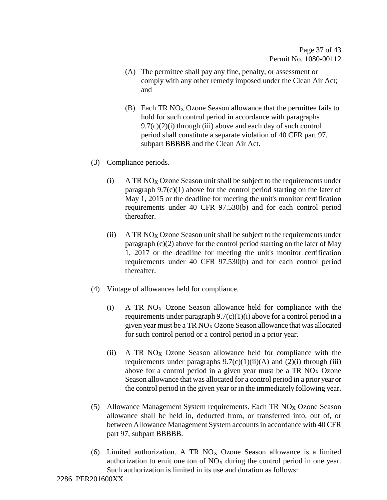- (A) The permittee shall pay any fine, penalty, or assessment or comply with any other remedy imposed under the Clean Air Act; and
- (B) Each TR  $NO<sub>X</sub> Oz$  Casson allowance that the permittee fails to hold for such control period in accordance with paragraphs  $9.7(c)(2)(i)$  through (iii) above and each day of such control period shall constitute a separate violation of 40 CFR part 97, subpart BBBBB and the Clean Air Act.
- (3) Compliance periods.
	- (i)  $A TR NO<sub>X</sub> Ozone Season unit shall be subject to the requirements under$ paragraph  $9.7(c)(1)$  above for the control period starting on the later of May 1, 2015 or the deadline for meeting the unit's monitor certification requirements under 40 CFR 97.530(b) and for each control period thereafter.
	- (ii) A TR  $NO<sub>X</sub> Ozone$  Season unit shall be subject to the requirements under paragraph (c)(2) above for the control period starting on the later of May 1, 2017 or the deadline for meeting the unit's monitor certification requirements under 40 CFR 97.530(b) and for each control period thereafter.
- (4) Vintage of allowances held for compliance.
	- (i) A TR  $NO<sub>X</sub>$  Ozone Season allowance held for compliance with the requirements under paragraph  $9.7(c)(1)(i)$  above for a control period in a given year must be a  $TR NO<sub>X</sub> Oz$  Season allowance that was allocated for such control period or a control period in a prior year.
	- (ii) A TR  $NO<sub>X</sub>$  Ozone Season allowance held for compliance with the requirements under paragraphs  $9.7(c)(1)(ii)(A)$  and  $(2)(i)$  through (iii) above for a control period in a given year must be a TR  $NO<sub>X</sub>$  Ozone Season allowance that was allocated for a control period in a prior year or the control period in the given year or in the immediately following year.
- (5) Allowance Management System requirements. Each TR  $NO<sub>X</sub> Oz$  Ozone Season allowance shall be held in, deducted from, or transferred into, out of, or between Allowance Management System accounts in accordance with 40 CFR part 97, subpart BBBBB.
- (6) Limited authorization. A TR NO<sup>X</sup> Ozone Season allowance is a limited authorization to emit one ton of  $NO<sub>X</sub>$  during the control period in one year. Such authorization is limited in its use and duration as follows: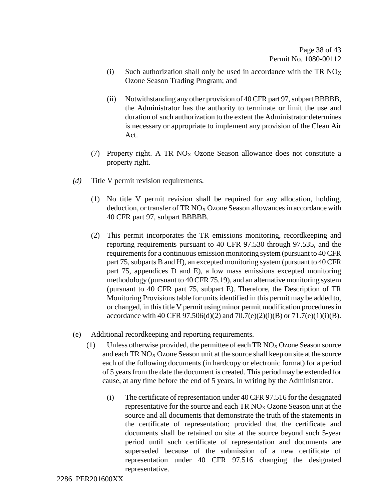- (i) Such authorization shall only be used in accordance with the TR  $NO<sub>X</sub>$ Ozone Season Trading Program; and
- (ii) Notwithstanding any other provision of 40 CFR part 97, subpart BBBBB, the Administrator has the authority to terminate or limit the use and duration of such authorization to the extent the Administrator determines is necessary or appropriate to implement any provision of the Clean Air Act.
- (7) Property right. A TR  $NO<sub>X</sub>$  Ozone Season allowance does not constitute a property right.
- *(d)* Title V permit revision requirements*.* 
	- (1) No title V permit revision shall be required for any allocation, holding, deduction, or transfer of TR  $NO<sub>X</sub>$  Ozone Season allowances in accordance with 40 CFR part 97, subpart BBBBB.
	- (2) This permit incorporates the TR emissions monitoring, recordkeeping and reporting requirements pursuant to 40 CFR 97.530 through 97.535, and the requirements for a continuous emission monitoring system (pursuant to 40 CFR part 75, subparts B and H), an excepted monitoring system (pursuant to 40 CFR part 75, appendices D and E), a low mass emissions excepted monitoring methodology (pursuant to 40 CFR 75.19), and an alternative monitoring system (pursuant to 40 CFR part 75, subpart E). Therefore, the Description of TR Monitoring Provisions table for units identified in this permit may be added to, or changed, in this title V permit using minor permit modification procedures in accordance with 40 CFR 97.506(d)(2) and 70.7(e)(2)(i)(B) or 71.7(e)(1)(i)(B).
- (e) Additional recordkeeping and reporting requirements*.* 
	- (1) Unless otherwise provided, the permittee of each TR  $NO<sub>X</sub> Oz$  Ozone Season source and each TR  $NO_X$  Ozone Season unit at the source shall keep on site at the source each of the following documents (in hardcopy or electronic format) for a period of 5 years from the date the document is created. This period may be extended for cause, at any time before the end of 5 years, in writing by the Administrator.
		- (i) The certificate of representation under 40 CFR 97.516 for the designated representative for the source and each  $TR NO<sub>X</sub> Oz$  and  $S$  eason unit at the source and all documents that demonstrate the truth of the statements in the certificate of representation; provided that the certificate and documents shall be retained on site at the source beyond such 5-year period until such certificate of representation and documents are superseded because of the submission of a new certificate of representation under 40 CFR 97.516 changing the designated representative.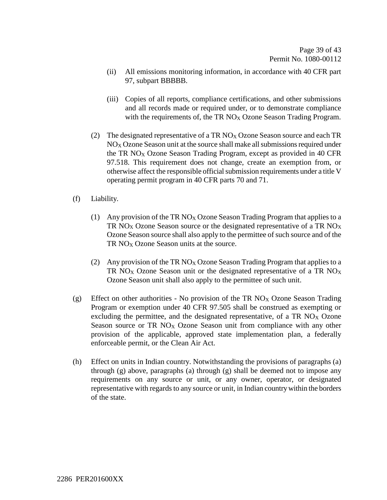- (ii) All emissions monitoring information, in accordance with 40 CFR part 97, subpart BBBBB.
- (iii) Copies of all reports, compliance certifications, and other submissions and all records made or required under, or to demonstrate compliance with the requirements of, the TR  $NO<sub>X</sub>$  Ozone Season Trading Program.
- (2) The designated representative of a TR  $NO<sub>X</sub> Oz$  one Season source and each TR  $NO<sub>X</sub> Oz$  Czone Season unit at the source shall make all submissions required under the TR  $NO<sub>X</sub>$  Ozone Season Trading Program, except as provided in 40 CFR 97.518. This requirement does not change, create an exemption from, or otherwise affect the responsible official submission requirements under a title V operating permit program in 40 CFR parts 70 and 71.
- (f) Liability*.* 
	- (1) Any provision of the TR NO<sub>X</sub> Ozone Season Trading Program that applies to a TR NO<sub>X</sub> Ozone Season source or the designated representative of a TR NO<sub>X</sub> Ozone Season source shall also apply to the permittee of such source and of the  $TR NO<sub>x</sub> Ozone Season units at the source.$
	- (2) Any provision of the TR NO<sub>X</sub> Ozone Season Trading Program that applies to a TR NO<sub>X</sub> Ozone Season unit or the designated representative of a TR NO<sub>X</sub> Ozone Season unit shall also apply to the permittee of such unit.
- (g) Effect on other authorities No provision of the TR NO<sub>X</sub> Ozone Season Trading Program or exemption under 40 CFR 97.505 shall be construed as exempting or excluding the permittee, and the designated representative, of a TR  $NO<sub>X</sub> Ozone$ Season source or TR  $NO<sub>X</sub>$  Ozone Season unit from compliance with any other provision of the applicable, approved state implementation plan, a federally enforceable permit, or the Clean Air Act.
- (h) Effect on units in Indian country. Notwithstanding the provisions of paragraphs (a) through (g) above, paragraphs (a) through (g) shall be deemed not to impose any requirements on any source or unit, or any owner, operator, or designated representative with regards to any source or unit, in Indian country within the borders of the state.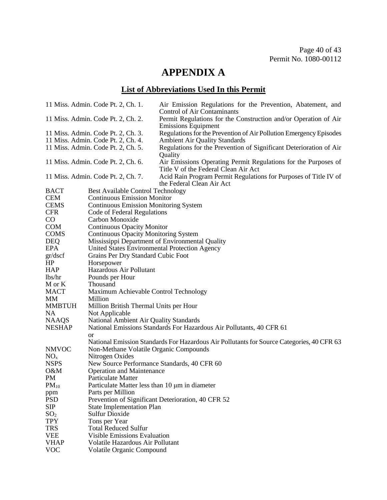# **APPENDIX A**

# **List of Abbreviations Used In this Permit**

|                 | 11 Miss. Admin. Code Pt. 2, Ch. 1.              | Air Emission Regulations for the Prevention, Abatement, and<br>Control of Air Contaminants             |
|-----------------|-------------------------------------------------|--------------------------------------------------------------------------------------------------------|
|                 | 11 Miss. Admin. Code Pt. 2, Ch. 2.              | Permit Regulations for the Construction and/or Operation of Air<br><b>Emissions Equipment</b>          |
|                 | 11 Miss. Admin. Code Pt. 2, Ch. 3.              | Regulations for the Prevention of Air Pollution Emergency Episodes                                     |
|                 | 11 Miss. Admin. Code Pt. 2, Ch. 4.              | <b>Ambient Air Quality Standards</b>                                                                   |
|                 | 11 Miss. Admin. Code Pt. 2, Ch. 5.              | Regulations for the Prevention of Significant Deterioration of Air                                     |
|                 |                                                 | Quality                                                                                                |
|                 | 11 Miss. Admin. Code Pt. 2, Ch. 6.              | Air Emissions Operating Permit Regulations for the Purposes of<br>Title V of the Federal Clean Air Act |
|                 | 11 Miss. Admin. Code Pt. 2, Ch. 7.              | Acid Rain Program Permit Regulations for Purposes of Title IV of<br>the Federal Clean Air Act          |
| <b>BACT</b>     | <b>Best Available Control Technology</b>        |                                                                                                        |
| <b>CEM</b>      | <b>Continuous Emission Monitor</b>              |                                                                                                        |
| <b>CEMS</b>     | <b>Continuous Emission Monitoring System</b>    |                                                                                                        |
| <b>CFR</b>      | Code of Federal Regulations                     |                                                                                                        |
| $\rm CO$        | Carbon Monoxide                                 |                                                                                                        |
| <b>COM</b>      | <b>Continuous Opacity Monitor</b>               |                                                                                                        |
| <b>COMS</b>     | <b>Continuous Opacity Monitoring System</b>     |                                                                                                        |
| <b>DEQ</b>      | Mississippi Department of Environmental Quality |                                                                                                        |
| <b>EPA</b>      | United States Environmental Protection Agency   |                                                                                                        |
| gr/dscf         | Grains Per Dry Standard Cubic Foot              |                                                                                                        |
| HP              | Horsepower                                      |                                                                                                        |
| <b>HAP</b>      | Hazardous Air Pollutant                         |                                                                                                        |
| lbs/hr          | Pounds per Hour                                 |                                                                                                        |
| M or K          | Thousand                                        |                                                                                                        |
| <b>MACT</b>     | Maximum Achievable Control Technology           |                                                                                                        |
| MM              | Million                                         |                                                                                                        |
| <b>MMBTUH</b>   | Million British Thermal Units per Hour          |                                                                                                        |
| NA              | Not Applicable                                  |                                                                                                        |
| <b>NAAQS</b>    | National Ambient Air Quality Standards          |                                                                                                        |
| <b>NESHAP</b>   |                                                 | National Emissions Standards For Hazardous Air Pollutants, 40 CFR 61                                   |
|                 | or                                              |                                                                                                        |
|                 |                                                 | National Emission Standards For Hazardous Air Pollutants for Source Categories, 40 CFR 63              |
| <b>NMVOC</b>    | Non-Methane Volatile Organic Compounds          |                                                                                                        |
| NO <sub>x</sub> | Nitrogen Oxides                                 |                                                                                                        |
| <b>NSPS</b>     | New Source Performance Standards, 40 CFR 60     |                                                                                                        |
| O&M             | <b>Operation and Maintenance</b>                |                                                                                                        |
| <b>PM</b>       | Particulate Matter                              |                                                                                                        |
| $PM_{10}$       | Particulate Matter less than 10 µm in diameter  |                                                                                                        |
| ppm             | Parts per Million                               |                                                                                                        |
| <b>PSD</b>      |                                                 | Prevention of Significant Deterioration, 40 CFR 52                                                     |
| SIP             | <b>State Implementation Plan</b>                |                                                                                                        |
| SO <sub>2</sub> | <b>Sulfur Dioxide</b>                           |                                                                                                        |
| <b>TPY</b>      | Tons per Year                                   |                                                                                                        |
| <b>TRS</b>      | <b>Total Reduced Sulfur</b>                     |                                                                                                        |
| <b>VEE</b>      | <b>Visible Emissions Evaluation</b>             |                                                                                                        |
| <b>VHAP</b>     | <b>Volatile Hazardous Air Pollutant</b>         |                                                                                                        |
| <b>VOC</b>      | Volatile Organic Compound                       |                                                                                                        |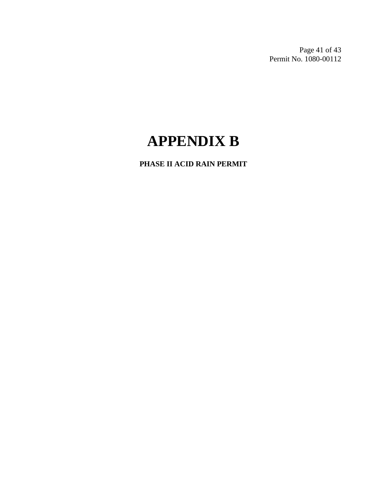Page 41 of 43 Permit No. 1080-00112

# **APPENDIX B**

**PHASE II ACID RAIN PERMIT**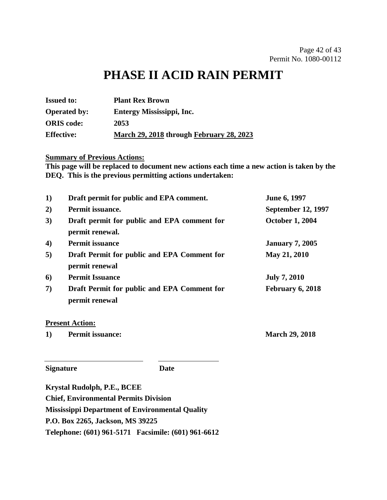# **PHASE II ACID RAIN PERMIT**

| <b>Issued to:</b>   | <b>Plant Rex Brown</b>                          |
|---------------------|-------------------------------------------------|
| <b>Operated by:</b> | Entergy Mississippi, Inc.                       |
| <b>ORIS</b> code:   | 2053                                            |
| <b>Effective:</b>   | <u>March 29, 2018</u> through February 28, 2023 |

### **Summary of Previous Actions:**

**This page will be replaced to document new actions each time a new action is taken by the DEQ. This is the previous permitting actions undertaken:**

| Draft permit for public and EPA comment.                       | June 6, 1997              |
|----------------------------------------------------------------|---------------------------|
| Permit issuance.                                               | <b>September 12, 1997</b> |
| Draft permit for public and EPA comment for<br>permit renewal. | <b>October 1, 2004</b>    |
| <b>Permit issuance</b>                                         | <b>January 7, 2005</b>    |
| Draft Permit for public and EPA Comment for<br>permit renewal  | May 21, 2010              |
| <b>Permit Issuance</b>                                         | <b>July 7, 2010</b>       |
| Draft Permit for public and EPA Comment for<br>permit renewal  | February 6, 2018          |
|                                                                |                           |

#### **Present Action:**

**1) Permit issuance: March 29, 2018**

**Signature Date**

**Krystal Rudolph, P.E., BCEE Chief, Environmental Permits Division Mississippi Department of Environmental Quality P.O. Box 2265, Jackson, MS 39225 Telephone: (601) 961-5171 Facsimile: (601) 961-6612**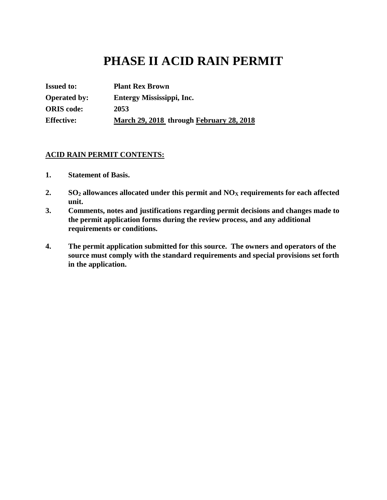# **PHASE II ACID RAIN PERMIT**

| <b>Issued to:</b>   | <b>Plant Rex Brown</b>                   |
|---------------------|------------------------------------------|
| <b>Operated by:</b> | Entergy Mississippi, Inc.                |
| <b>ORIS</b> code:   | 2053                                     |
| <b>Effective:</b>   | March 29, 2018 through February 28, 2018 |

#### **ACID RAIN PERMIT CONTENTS:**

- **1. Statement of Basis.**
- **2. SO<sup>2</sup> allowances allocated under this permit and NO<sup>X</sup> requirements for each affected unit.**
- **3. Comments, notes and justifications regarding permit decisions and changes made to the permit application forms during the review process, and any additional requirements or conditions.**
- **4. The permit application submitted for this source. The owners and operators of the source must comply with the standard requirements and special provisions set forth in the application.**